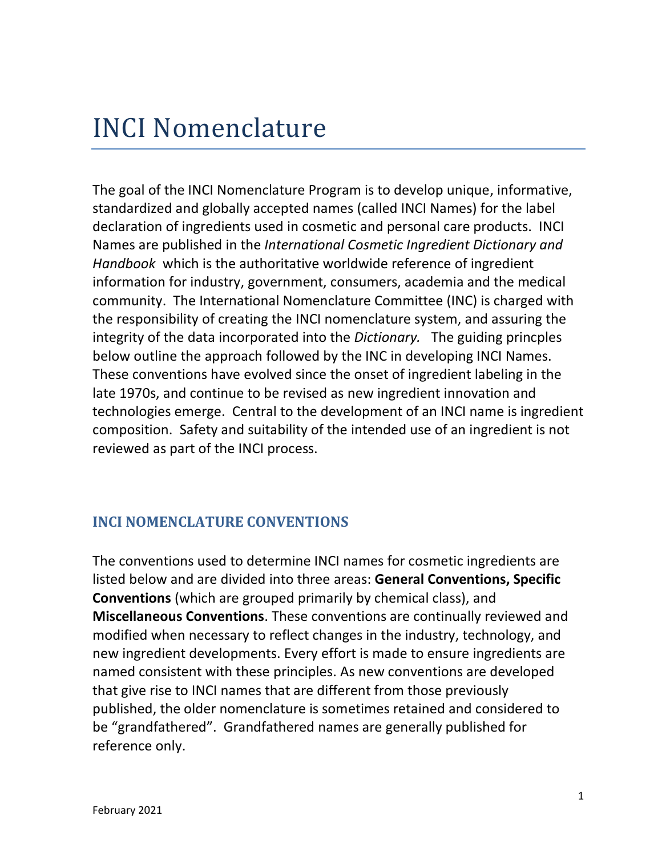# INCI Nomenclature

[The goal of the INCI Nomenclature Program is to develop unique, informative,](https://www.google.com/search?q=USAN+nomenclature&safe=active&rlz=1C1EJFC_enUS884US884&sxsrf=ALeKk02hacoMcETXzCXzrm0phKJvw4RxPQ:1612139185135&tbm=isch&source=iu&ictx=1&fir=_7XvCNf97IoqyM%252CQg9MnEOvM1p_ZM%252C_&vet=1&usg=AI4_-kS-e8wGiGMq0Sq47q_oDilZhSHqEw&sa=X&ved=2ahUKEwjt69S7tsfuAhUYM1kFHW1SD9AQ9QF6BAgOEAE#imgrc=_7XvCNf97IoqyM)  [standardized and globally accepted names](https://www.google.com/search?q=USAN+nomenclature&safe=active&rlz=1C1EJFC_enUS884US884&sxsrf=ALeKk02hacoMcETXzCXzrm0phKJvw4RxPQ:1612139185135&tbm=isch&source=iu&ictx=1&fir=_7XvCNf97IoqyM%252CQg9MnEOvM1p_ZM%252C_&vet=1&usg=AI4_-kS-e8wGiGMq0Sq47q_oDilZhSHqEw&sa=X&ved=2ahUKEwjt69S7tsfuAhUYM1kFHW1SD9AQ9QF6BAgOEAE#imgrc=_7XvCNf97IoqyM) (called INCI Names) for the label [declaration of ingredients used in cosmetic and personal care products. INCI](https://www.google.com/search?q=USAN+nomenclature&safe=active&rlz=1C1EJFC_enUS884US884&sxsrf=ALeKk02hacoMcETXzCXzrm0phKJvw4RxPQ:1612139185135&tbm=isch&source=iu&ictx=1&fir=_7XvCNf97IoqyM%252CQg9MnEOvM1p_ZM%252C_&vet=1&usg=AI4_-kS-e8wGiGMq0Sq47q_oDilZhSHqEw&sa=X&ved=2ahUKEwjt69S7tsfuAhUYM1kFHW1SD9AQ9QF6BAgOEAE#imgrc=_7XvCNf97IoqyM)  Names are published in the *[International Cosmetic Ingredient Dictionary and](https://www.google.com/search?q=USAN+nomenclature&safe=active&rlz=1C1EJFC_enUS884US884&sxsrf=ALeKk02hacoMcETXzCXzrm0phKJvw4RxPQ:1612139185135&tbm=isch&source=iu&ictx=1&fir=_7XvCNf97IoqyM%252CQg9MnEOvM1p_ZM%252C_&vet=1&usg=AI4_-kS-e8wGiGMq0Sq47q_oDilZhSHqEw&sa=X&ved=2ahUKEwjt69S7tsfuAhUYM1kFHW1SD9AQ9QF6BAgOEAE#imgrc=_7XvCNf97IoqyM)  Handbook* which is [the authoritative worldwide reference](https://www.google.com/search?q=USAN+nomenclature&safe=active&rlz=1C1EJFC_enUS884US884&sxsrf=ALeKk02hacoMcETXzCXzrm0phKJvw4RxPQ:1612139185135&tbm=isch&source=iu&ictx=1&fir=_7XvCNf97IoqyM%252CQg9MnEOvM1p_ZM%252C_&vet=1&usg=AI4_-kS-e8wGiGMq0Sq47q_oDilZhSHqEw&sa=X&ved=2ahUKEwjt69S7tsfuAhUYM1kFHW1SD9AQ9QF6BAgOEAE#imgrc=_7XvCNf97IoqyM) of ingredient [information for industry, government, consumers, academia and the medical](https://www.google.com/search?q=USAN+nomenclature&safe=active&rlz=1C1EJFC_enUS884US884&sxsrf=ALeKk02hacoMcETXzCXzrm0phKJvw4RxPQ:1612139185135&tbm=isch&source=iu&ictx=1&fir=_7XvCNf97IoqyM%252CQg9MnEOvM1p_ZM%252C_&vet=1&usg=AI4_-kS-e8wGiGMq0Sq47q_oDilZhSHqEw&sa=X&ved=2ahUKEwjt69S7tsfuAhUYM1kFHW1SD9AQ9QF6BAgOEAE#imgrc=_7XvCNf97IoqyM)  [community. The International Nomenclature Committee \(INC\) is charged with](https://www.google.com/search?q=USAN+nomenclature&safe=active&rlz=1C1EJFC_enUS884US884&sxsrf=ALeKk02hacoMcETXzCXzrm0phKJvw4RxPQ:1612139185135&tbm=isch&source=iu&ictx=1&fir=_7XvCNf97IoqyM%252CQg9MnEOvM1p_ZM%252C_&vet=1&usg=AI4_-kS-e8wGiGMq0Sq47q_oDilZhSHqEw&sa=X&ved=2ahUKEwjt69S7tsfuAhUYM1kFHW1SD9AQ9QF6BAgOEAE#imgrc=_7XvCNf97IoqyM)  [the responsibility of creating the INCI nomenclature system, and assuring the](https://www.google.com/search?q=USAN+nomenclature&safe=active&rlz=1C1EJFC_enUS884US884&sxsrf=ALeKk02hacoMcETXzCXzrm0phKJvw4RxPQ:1612139185135&tbm=isch&source=iu&ictx=1&fir=_7XvCNf97IoqyM%252CQg9MnEOvM1p_ZM%252C_&vet=1&usg=AI4_-kS-e8wGiGMq0Sq47q_oDilZhSHqEw&sa=X&ved=2ahUKEwjt69S7tsfuAhUYM1kFHW1SD9AQ9QF6BAgOEAE#imgrc=_7XvCNf97IoqyM)  [integrity of the data incorporated into the](https://www.google.com/search?q=USAN+nomenclature&safe=active&rlz=1C1EJFC_enUS884US884&sxsrf=ALeKk02hacoMcETXzCXzrm0phKJvw4RxPQ:1612139185135&tbm=isch&source=iu&ictx=1&fir=_7XvCNf97IoqyM%252CQg9MnEOvM1p_ZM%252C_&vet=1&usg=AI4_-kS-e8wGiGMq0Sq47q_oDilZhSHqEw&sa=X&ved=2ahUKEwjt69S7tsfuAhUYM1kFHW1SD9AQ9QF6BAgOEAE#imgrc=_7XvCNf97IoqyM) *Dictionary.* The guiding princples [below outline the approach followed by the INC in developing INCI Names.](https://www.google.com/search?q=USAN+nomenclature&safe=active&rlz=1C1EJFC_enUS884US884&sxsrf=ALeKk02hacoMcETXzCXzrm0phKJvw4RxPQ:1612139185135&tbm=isch&source=iu&ictx=1&fir=_7XvCNf97IoqyM%252CQg9MnEOvM1p_ZM%252C_&vet=1&usg=AI4_-kS-e8wGiGMq0Sq47q_oDilZhSHqEw&sa=X&ved=2ahUKEwjt69S7tsfuAhUYM1kFHW1SD9AQ9QF6BAgOEAE#imgrc=_7XvCNf97IoqyM)  [These conventions have evolved since the onset of ingredient labeling in the](https://www.google.com/search?q=USAN+nomenclature&safe=active&rlz=1C1EJFC_enUS884US884&sxsrf=ALeKk02hacoMcETXzCXzrm0phKJvw4RxPQ:1612139185135&tbm=isch&source=iu&ictx=1&fir=_7XvCNf97IoqyM%252CQg9MnEOvM1p_ZM%252C_&vet=1&usg=AI4_-kS-e8wGiGMq0Sq47q_oDilZhSHqEw&sa=X&ved=2ahUKEwjt69S7tsfuAhUYM1kFHW1SD9AQ9QF6BAgOEAE#imgrc=_7XvCNf97IoqyM)  [late 1970s, and continue to be revised as new ingredient innovation and](https://www.google.com/search?q=USAN+nomenclature&safe=active&rlz=1C1EJFC_enUS884US884&sxsrf=ALeKk02hacoMcETXzCXzrm0phKJvw4RxPQ:1612139185135&tbm=isch&source=iu&ictx=1&fir=_7XvCNf97IoqyM%252CQg9MnEOvM1p_ZM%252C_&vet=1&usg=AI4_-kS-e8wGiGMq0Sq47q_oDilZhSHqEw&sa=X&ved=2ahUKEwjt69S7tsfuAhUYM1kFHW1SD9AQ9QF6BAgOEAE#imgrc=_7XvCNf97IoqyM)  [technologies emerge. Central to the development of an INCI name is ingredient](https://www.google.com/search?q=USAN+nomenclature&safe=active&rlz=1C1EJFC_enUS884US884&sxsrf=ALeKk02hacoMcETXzCXzrm0phKJvw4RxPQ:1612139185135&tbm=isch&source=iu&ictx=1&fir=_7XvCNf97IoqyM%252CQg9MnEOvM1p_ZM%252C_&vet=1&usg=AI4_-kS-e8wGiGMq0Sq47q_oDilZhSHqEw&sa=X&ved=2ahUKEwjt69S7tsfuAhUYM1kFHW1SD9AQ9QF6BAgOEAE#imgrc=_7XvCNf97IoqyM)  [composition. Safety and suitability of the intended use of an ingredient is not](https://www.google.com/search?q=USAN+nomenclature&safe=active&rlz=1C1EJFC_enUS884US884&sxsrf=ALeKk02hacoMcETXzCXzrm0phKJvw4RxPQ:1612139185135&tbm=isch&source=iu&ictx=1&fir=_7XvCNf97IoqyM%252CQg9MnEOvM1p_ZM%252C_&vet=1&usg=AI4_-kS-e8wGiGMq0Sq47q_oDilZhSHqEw&sa=X&ved=2ahUKEwjt69S7tsfuAhUYM1kFHW1SD9AQ9QF6BAgOEAE#imgrc=_7XvCNf97IoqyM)  [reviewed as part of the INCI process.](https://www.google.com/search?q=USAN+nomenclature&safe=active&rlz=1C1EJFC_enUS884US884&sxsrf=ALeKk02hacoMcETXzCXzrm0phKJvw4RxPQ:1612139185135&tbm=isch&source=iu&ictx=1&fir=_7XvCNf97IoqyM%252CQg9MnEOvM1p_ZM%252C_&vet=1&usg=AI4_-kS-e8wGiGMq0Sq47q_oDilZhSHqEw&sa=X&ved=2ahUKEwjt69S7tsfuAhUYM1kFHW1SD9AQ9QF6BAgOEAE#imgrc=_7XvCNf97IoqyM) 

## <span id="page-0-0"></span>**INCI NOMENCLATURE CONVENTIONS**

The conventions used to determine INCI names for cosmetic ingredients are listed below and are divided into three areas: **General Conventions, Specific Conventions** (which are grouped primarily by chemical class), and **Miscellaneous Conventions**. These conventions are continually reviewed and modified when necessary to reflect changes in the industry, technology, and new ingredient developments. Every effort is made to ensure ingredients are named consistent with these principles. As new conventions are developed that give rise to INCI names that are different from those previously published, the older nomenclature is sometimes retained and considered to be "grandfathered". Grandfathered names are generally published for reference only.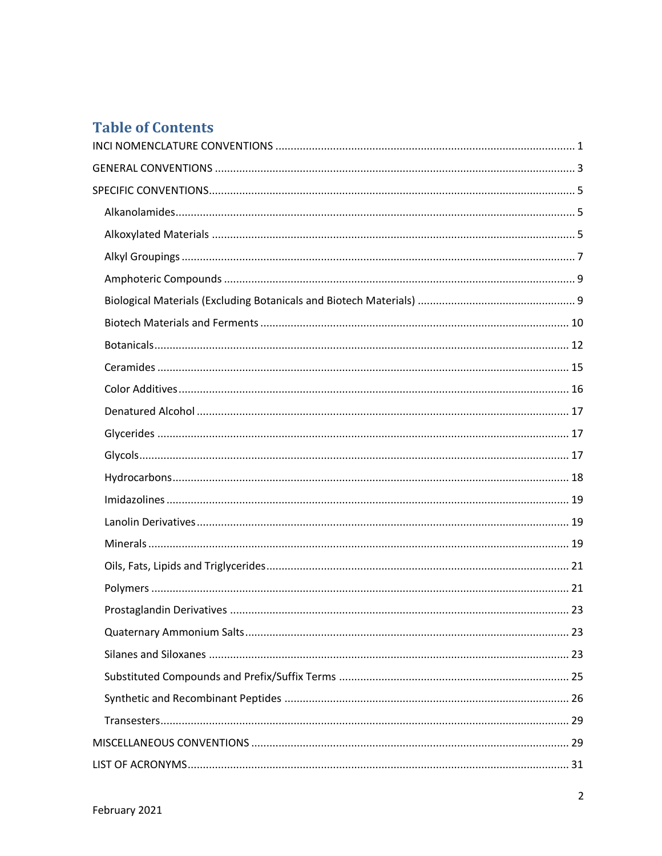# **Table of Contents**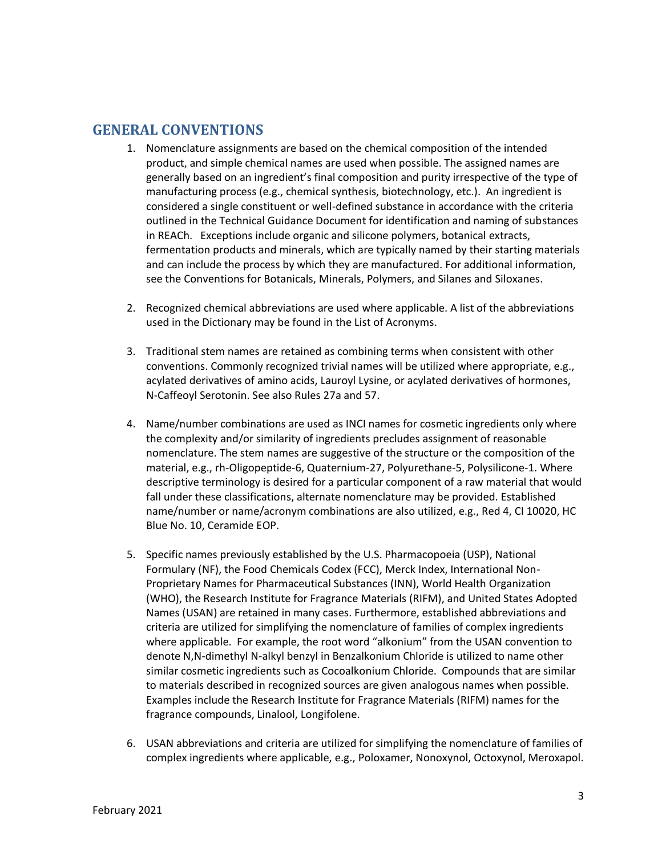## <span id="page-2-0"></span>**GENERAL CONVENTIONS**

- 1. Nomenclature assignments are based on the chemical composition of the intended product, and simple chemical names are used when possible. The assigned names are generally based on an ingredient's final composition and purity irrespective of the type of manufacturing process (e.g., chemical synthesis, biotechnology, etc.). An ingredient is considered a single constituent or well-defined substance in accordance with the criteria outlined in the Technical Guidance Document for identification and naming of substances in REACh. Exceptions include organic and silicone polymers, botanical extracts, fermentation products and minerals, which are typically named by their starting materials and can include the process by which they are manufactured. For additional information, see the Conventions for Botanicals, Minerals, Polymers, and Silanes and Siloxanes.
- 2. Recognized chemical abbreviations are used where applicable. A list of the abbreviations used in the Dictionary may be found in the List of Acronyms.
- 3. Traditional stem names are retained as combining terms when consistent with other conventions. Commonly recognized trivial names will be utilized where appropriate, e.g., acylated derivatives of amino acids, Lauroyl Lysine, or acylated derivatives of hormones, N-Caffeoyl Serotonin. See also Rules 27a and 57.
- 4. Name/number combinations are used as INCI names for cosmetic ingredients only where the complexity and/or similarity of ingredients precludes assignment of reasonable nomenclature. The stem names are suggestive of the structure or the composition of the material, e.g., rh-Oligopeptide-6, Quaternium-27, Polyurethane-5, Polysilicone-1. Where descriptive terminology is desired for a particular component of a raw material that would fall under these classifications, alternate nomenclature may be provided. Established name/number or name/acronym combinations are also utilized, e.g., Red 4, CI 10020, HC Blue No. 10, Ceramide EOP.
- 5. Specific names previously established by the U.S. Pharmacopoeia (USP), National Formulary (NF), the Food Chemicals Codex (FCC), Merck Index, International Non-Proprietary Names for Pharmaceutical Substances (INN), World Health Organization (WHO), the Research Institute for Fragrance Materials (RIFM), and United States Adopted Names (USAN) are retained in many cases. Furthermore, established abbreviations and criteria are utilized for simplifying the nomenclature of families of complex ingredients where applicable. For example, the root word "alkonium" from the USAN convention to denote N,N-dimethyl N-alkyl benzyl in Benzalkonium Chloride is utilized to name other similar cosmetic ingredients such as Cocoalkonium Chloride. Compounds that are similar to materials described in recognized sources are given analogous names when possible. Examples include the Research Institute for Fragrance Materials (RIFM) names for the fragrance compounds, Linalool, Longifolene.
- 6. USAN abbreviations and criteria are utilized for simplifying the nomenclature of families of complex ingredients where applicable, e.g., Poloxamer, Nonoxynol, Octoxynol, Meroxapol.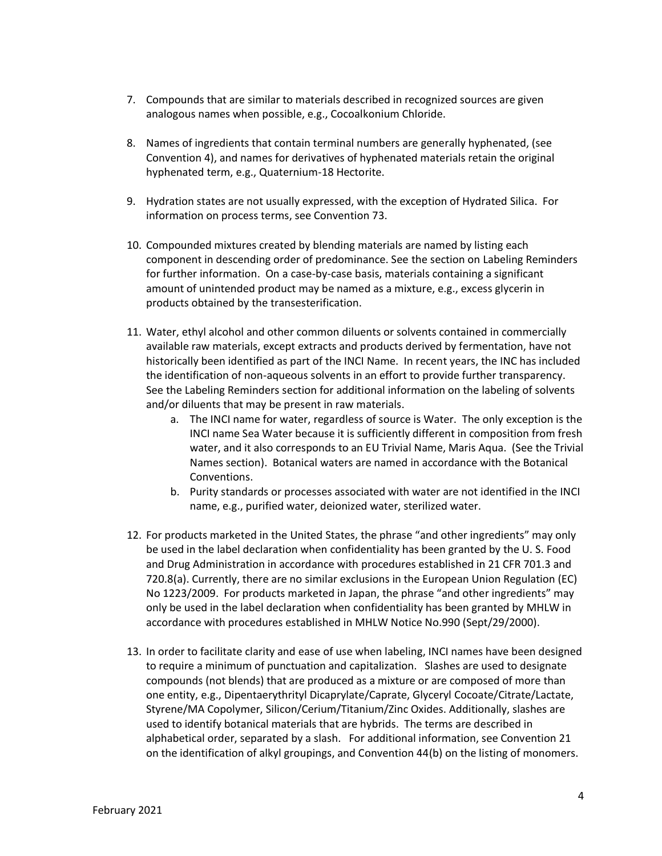- 7. Compounds that are similar to materials described in recognized sources are given analogous names when possible, e.g., Cocoalkonium Chloride.
- 8. Names of ingredients that contain terminal numbers are generally hyphenated, (see Convention 4), and names for derivatives of hyphenated materials retain the original hyphenated term, e.g., Quaternium-18 Hectorite.
- 9. Hydration states are not usually expressed, with the exception of Hydrated Silica. For information on process terms, see Convention 73.
- 10. Compounded mixtures created by blending materials are named by listing each component in descending order of predominance. See the section on Labeling Reminders for further information. On a case-by-case basis, materials containing a significant amount of unintended product may be named as a mixture, e.g., excess glycerin in products obtained by the transesterification.
- 11. Water, ethyl alcohol and other common diluents or solvents contained in commercially available raw materials, except extracts and products derived by fermentation, have not historically been identified as part of the INCI Name. In recent years, the INC has included the identification of non-aqueous solvents in an effort to provide further transparency. See the Labeling Reminders section for additional information on the labeling of solvents and/or diluents that may be present in raw materials.
	- a. The INCI name for water, regardless of source is Water. The only exception is the INCI name Sea Water because it is sufficiently different in composition from fresh water, and it also corresponds to an EU Trivial Name, Maris Aqua. (See the Trivial Names section). Botanical waters are named in accordance with the Botanical Conventions.
	- b. Purity standards or processes associated with water are not identified in the INCI name, e.g., purified water, deionized water, sterilized water.
- 12. For products marketed in the United States, the phrase "and other ingredients" may only be used in the label declaration when confidentiality has been granted by the U. S. Food and Drug Administration in accordance with procedures established in 21 CFR 701.3 and 720.8(a). Currently, there are no similar exclusions in the European Union Regulation (EC) No 1223/2009. For products marketed in Japan, the phrase "and other ingredients" may only be used in the label declaration when confidentiality has been granted by MHLW in accordance with procedures established in MHLW Notice No.990 (Sept/29/2000).
- 13. In order to facilitate clarity and ease of use when labeling, INCI names have been designed to require a minimum of punctuation and capitalization. Slashes are used to designate compounds (not blends) that are produced as a mixture or are composed of more than one entity, e.g., Dipentaerythrityl Dicaprylate/Caprate, Glyceryl Cocoate/Citrate/Lactate, Styrene/MA Copolymer, Silicon/Cerium/Titanium/Zinc Oxides. Additionally, slashes are used to identify botanical materials that are hybrids. The terms are described in alphabetical order, separated by a slash. For additional information, see Convention 21 on the identification of alkyl groupings, and Convention 44(b) on the listing of monomers.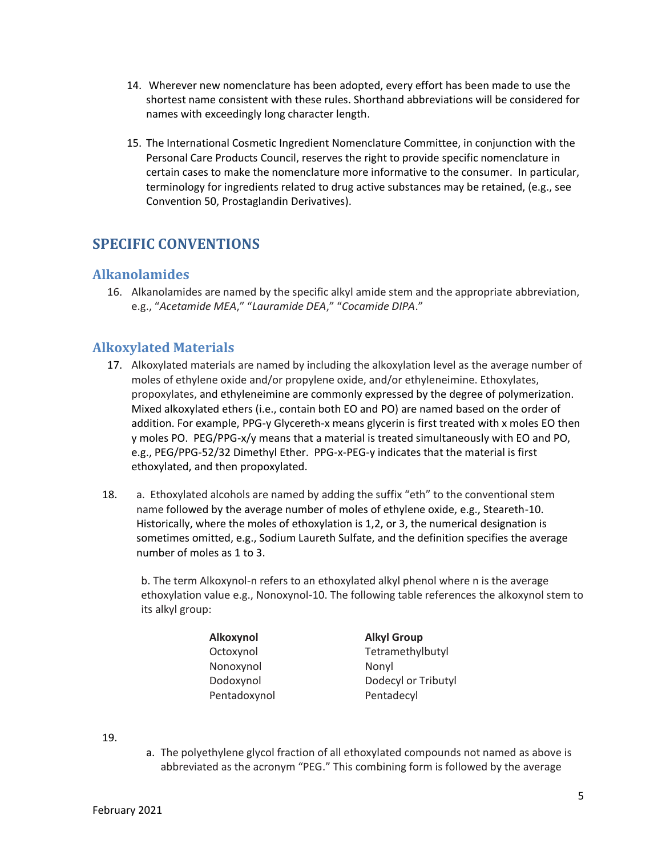- 14. Wherever new nomenclature has been adopted, every effort has been made to use the shortest name consistent with these rules. Shorthand abbreviations will be considered for names with exceedingly long character length.
- 15. The International Cosmetic Ingredient Nomenclature Committee, in conjunction with the Personal Care Products Council, reserves the right to provide specific nomenclature in certain cases to make the nomenclature more informative to the consumer. In particular, terminology for ingredients related to drug active substances may be retained, (e.g., see Convention 50, Prostaglandin Derivatives).

## <span id="page-4-0"></span>**SPECIFIC CONVENTIONS**

#### <span id="page-4-1"></span>**Alkanolamides**

16. Alkanolamides are named by the specific alkyl amide stem and the appropriate abbreviation, e.g., "*Acetamide MEA*," "*Lauramide DEA*," "*Cocamide DIPA*."

#### <span id="page-4-2"></span>**Alkoxylated Materials**

- 17. Alkoxylated materials are named by including the alkoxylation level as the average number of moles of ethylene oxide and/or propylene oxide, and/or ethyleneimine. Ethoxylates, propoxylates, and ethyleneimine are commonly expressed by the degree of polymerization. Mixed alkoxylated ethers (i.e., contain both EO and PO) are named based on the order of addition. For example, PPG-y Glycereth-x means glycerin is first treated with x moles EO then y moles PO. PEG/PPG-x/y means that a material is treated simultaneously with EO and PO, e.g., PEG/PPG-52/32 Dimethyl Ether. PPG-x-PEG-y indicates that the material is first ethoxylated, and then propoxylated.
- 18. a. Ethoxylated alcohols are named by adding the suffix "eth" to the conventional stem name followed by the average number of moles of ethylene oxide, e.g., Steareth-10. Historically, where the moles of ethoxylation is 1,2, or 3, the numerical designation is sometimes omitted, e.g., Sodium Laureth Sulfate, and the definition specifies the average number of moles as 1 to 3.

b. The term Alkoxynol-n refers to an ethoxylated alkyl phenol where n is the average ethoxylation value e.g., Nonoxynol-10. The following table references the alkoxynol stem to its alkyl group:

| Alkoxynol    | <b>Alkyl Group</b>  |
|--------------|---------------------|
| Octoxynol    | Tetramethylbutyl    |
| Nonoxynol    | Nonyl               |
| Dodoxynol    | Dodecyl or Tributyl |
| Pentadoxynol | Pentadecyl          |

19.

a. The polyethylene glycol fraction of all ethoxylated compounds not named as above is abbreviated as the acronym "PEG." This combining form is followed by the average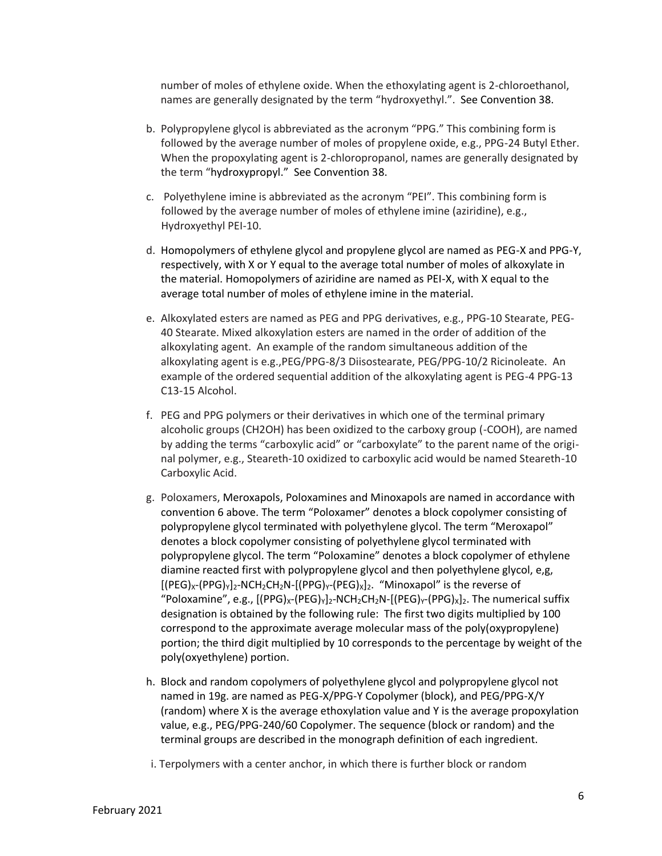number of moles of ethylene oxide. When the ethoxylating agent is 2-chloroethanol, names are generally designated by the term "hydroxyethyl.". See Convention 38.

- b. Polypropylene glycol is abbreviated as the acronym "PPG." This combining form is followed by the average number of moles of propylene oxide, e.g., PPG-24 Butyl Ether. When the propoxylating agent is 2-chloropropanol, names are generally designated by the term "hydroxypropyl." See Convention 38.
- c. Polyethylene imine is abbreviated as the acronym "PEI". This combining form is followed by the average number of moles of ethylene imine (aziridine), e.g., Hydroxyethyl PEI-10.
- d. Homopolymers of ethylene glycol and propylene glycol are named as PEG-X and PPG-Y, respectively, with X or Y equal to the average total number of moles of alkoxylate in the material. Homopolymers of aziridine are named as PEI-X, with X equal to the average total number of moles of ethylene imine in the material.
- e. Alkoxylated esters are named as PEG and PPG derivatives, e.g., PPG-10 Stearate, PEG-40 Stearate. Mixed alkoxylation esters are named in the order of addition of the alkoxylating agent. An example of the random simultaneous addition of the alkoxylating agent is e.g.,PEG/PPG-8/3 Diisostearate, PEG/PPG-10/2 Ricinoleate. An example of the ordered sequential addition of the alkoxylating agent is PEG-4 PPG-13 C13-15 Alcohol.
- f. PEG and PPG polymers or their derivatives in which one of the terminal primary alcoholic groups (CH2OH) has been oxidized to the carboxy group (-COOH), are named by adding the terms "carboxylic acid" or "carboxylate" to the parent name of the original polymer, e.g., Steareth-10 oxidized to carboxylic acid would be named Steareth-10 Carboxylic Acid.
- g. Poloxamers, Meroxapols, Poloxamines and Minoxapols are named in accordance with convention 6 above. The term "Poloxamer" denotes a block copolymer consisting of polypropylene glycol terminated with polyethylene glycol. The term "Meroxapol" denotes a block copolymer consisting of polyethylene glycol terminated with polypropylene glycol. The term "Poloxamine" denotes a block copolymer of ethylene diamine reacted first with polypropylene glycol and then polyethylene glycol, e,g,  $[(PEG)<sub>X</sub>-(PPG)<sub>Y</sub>]_{2}$ -NCH<sub>2</sub>CH<sub>2</sub>N- $[(PPG)<sub>Y</sub>-(PEG)<sub>X</sub>]_{2}$ . "Minoxapol" is the reverse of "Poloxamine", e.g.,  $[(PPG)_x-(PEG)_y]_2-NCH_2CH_2N-[(PEG)_y-(PPG)_x]_2$ . The numerical suffix designation is obtained by the following rule: The first two digits multiplied by 100 correspond to the approximate average molecular mass of the poly(oxypropylene) portion; the third digit multiplied by 10 corresponds to the percentage by weight of the poly(oxyethylene) portion.
- h. Block and random copolymers of polyethylene glycol and polypropylene glycol not named in 19g. are named as PEG-X/PPG-Y Copolymer (block), and PEG/PPG-X/Y (random) where X is the average ethoxylation value and Y is the average propoxylation value, e.g., PEG/PPG-240/60 Copolymer. The sequence (block or random) and the terminal groups are described in the monograph definition of each ingredient.
- i. Terpolymers with a center anchor, in which there is further block or random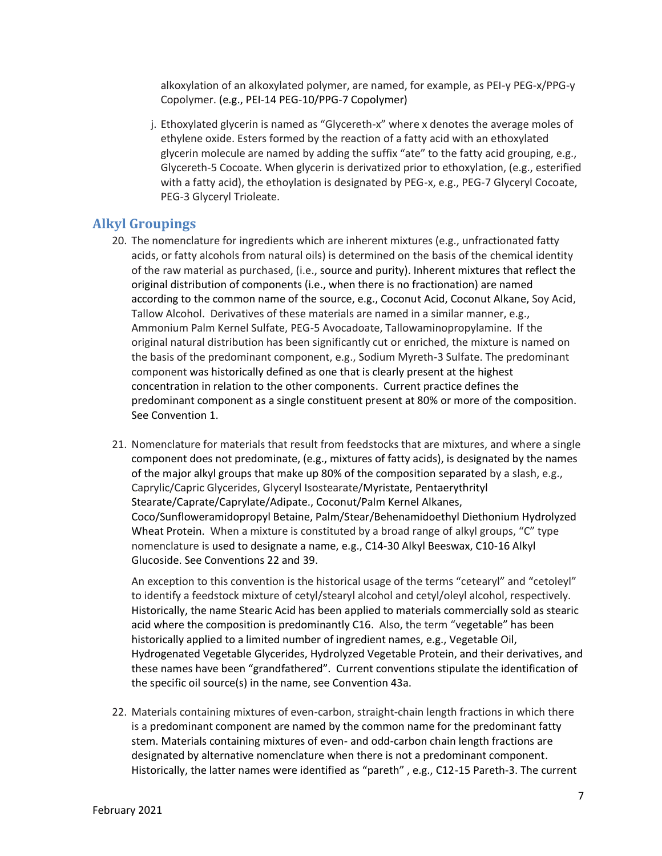alkoxylation of an alkoxylated polymer, are named, for example, as PEI-y PEG-x/PPG-y Copolymer. (e.g., PEI-14 PEG-10/PPG-7 Copolymer)

j. Ethoxylated glycerin is named as "Glycereth-x" where x denotes the average moles of ethylene oxide. Esters formed by the reaction of a fatty acid with an ethoxylated glycerin molecule are named by adding the suffix "ate" to the fatty acid grouping, e.g., Glycereth-5 Cocoate. When glycerin is derivatized prior to ethoxylation, (e.g., esterified with a fatty acid), the ethoylation is designated by PEG-x, e.g., PEG-7 Glyceryl Cocoate, PEG-3 Glyceryl Trioleate.

#### <span id="page-6-0"></span>**Alkyl Groupings**

- 20. The nomenclature for ingredients which are inherent mixtures (e.g., unfractionated fatty acids, or fatty alcohols from natural oils) is determined on the basis of the chemical identity of the raw material as purchased, (i.e., source and purity). Inherent mixtures that reflect the original distribution of components (i.e., when there is no fractionation) are named according to the common name of the source, e.g., Coconut Acid, Coconut Alkane, Soy Acid, Tallow Alcohol. Derivatives of these materials are named in a similar manner, e.g., Ammonium Palm Kernel Sulfate, PEG-5 Avocadoate, Tallowaminopropylamine. If the original natural distribution has been significantly cut or enriched, the mixture is named on the basis of the predominant component, e.g., Sodium Myreth-3 Sulfate. The predominant component was historically defined as one that is clearly present at the highest concentration in relation to the other components. Current practice defines the predominant component as a single constituent present at 80% or more of the composition. See Convention 1.
- 21. Nomenclature for materials that result from feedstocks that are mixtures, and where a single component does not predominate, (e.g., mixtures of fatty acids), is designated by the names of the major alkyl groups that make up 80% of the composition separated by a slash, e.g., Caprylic/Capric Glycerides, Glyceryl Isostearate/Myristate, Pentaerythrityl Stearate/Caprate/Caprylate/Adipate., Coconut/Palm Kernel Alkanes, Coco/Sunfloweramidopropyl Betaine, Palm/Stear/Behenamidoethyl Diethonium Hydrolyzed Wheat Protein. When a mixture is constituted by a broad range of alkyl groups, "C" type nomenclature is used to designate a name, e.g., C14-30 Alkyl Beeswax, C10-16 Alkyl Glucoside. See Conventions 22 and 39.

An exception to this convention is the historical usage of the terms "cetearyl" and "cetoleyl" to identify a feedstock mixture of cetyl/stearyl alcohol and cetyl/oleyl alcohol, respectively. Historically, the name Stearic Acid has been applied to materials commercially sold as stearic acid where the composition is predominantly C16. Also, the term "vegetable" has been historically applied to a limited number of ingredient names, e.g., Vegetable Oil, Hydrogenated Vegetable Glycerides, Hydrolyzed Vegetable Protein, and their derivatives, and these names have been "grandfathered". Current conventions stipulate the identification of the specific oil source(s) in the name, see Convention 43a.

22. Materials containing mixtures of even-carbon, straight-chain length fractions in which there is a predominant component are named by the common name for the predominant fatty stem. Materials containing mixtures of even- and odd-carbon chain length fractions are designated by alternative nomenclature when there is not a predominant component. Historically, the latter names were identified as "pareth" , e.g., C12-15 Pareth-3. The current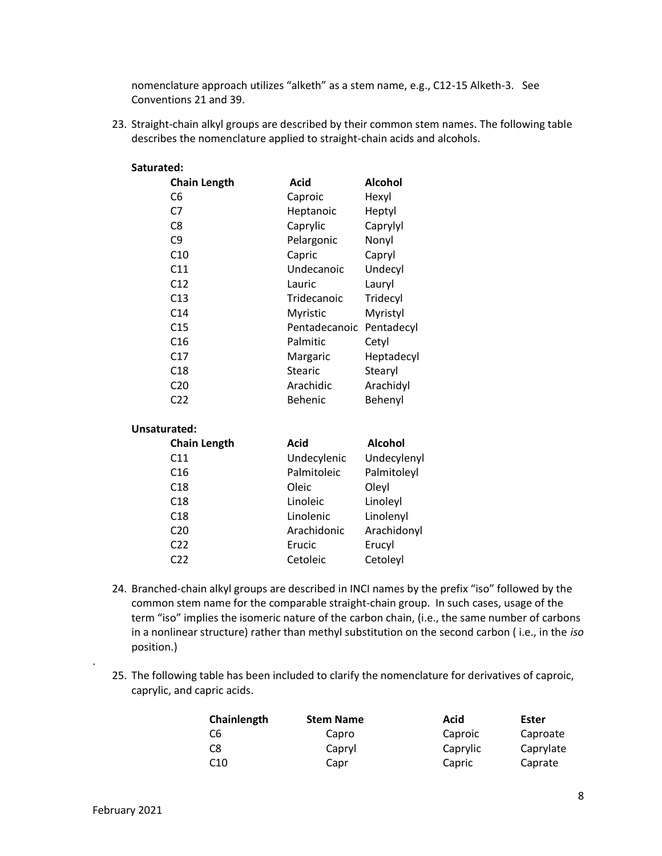nomenclature approach utilizes "alketh" as a stem name, e.g., C12-15 Alketh-3. See Conventions 21 and 39.

23. Straight-chain alkyl groups are described by their common stem names. The following table describes the nomenclature applied to straight-chain acids and alcohols.

#### **Saturated:**

| <b>Chain Length</b> | Acid          | Alcohol    |
|---------------------|---------------|------------|
| C6                  | Caproic       | Hexyl      |
| C7                  | Heptanoic     | Heptyl     |
| C8                  | Caprylic      | Caprylyl   |
| C9                  | Pelargonic    | Nonyl      |
| C10                 | Capric        | Capryl     |
| C11                 | Undecanoic    | Undecyl    |
| C <sub>12</sub>     | Lauric        | Lauryl     |
| C13                 | Tridecanoic   | Tridecyl   |
| C <sub>14</sub>     | Myristic      | Myristyl   |
| C15                 | Pentadecanoic | Pentadecyl |
| C <sub>16</sub>     | Palmitic      | Cetyl      |
| C17                 | Margaric      | Heptadecyl |
| C18                 | Stearic       | Stearyl    |
| C20                 | Arachidic     | Arachidyl  |
| C22                 | Behenic       | Behenyl    |
|                     |               |            |

#### **Unsaturated:**

| <b>Chain Length</b> | Acid        | Alcohol     |
|---------------------|-------------|-------------|
| C <sub>11</sub>     | Undecylenic | Undecylenyl |
| C <sub>16</sub>     | Palmitoleic | Palmitoleyl |
| C18                 | Oleic       | Oleyl       |
| C18                 | Linoleic    | Linoleyl    |
| C18                 | Linolenic   | Linolenyl   |
| C <sub>20</sub>     | Arachidonic | Arachidonyl |
| C <sub>22</sub>     | Erucic      | Erucyl      |
| C22                 | Cetoleic    | Cetoleyl    |
|                     |             |             |

- 24. Branched-chain alkyl groups are described in INCI names by the prefix "iso" followed by the common stem name for the comparable straight-chain group. In such cases, usage of the term "iso" implies the isomeric nature of the carbon chain, (i.e., the same number of carbons in a nonlinear structure) rather than methyl substitution on the second carbon ( i.e., in the *iso* position.)
- 25. The following table has been included to clarify the nomenclature for derivatives of caproic, caprylic, and capric acids.

| Chainlength     | <b>Stem Name</b> | Acid     | Ester     |
|-----------------|------------------|----------|-----------|
| C6              | Capro            | Caproic  | Caproate  |
| C8              | Capryl           | Caprylic | Caprylate |
| C <sub>10</sub> | Capr             | Capric   | Caprate   |

.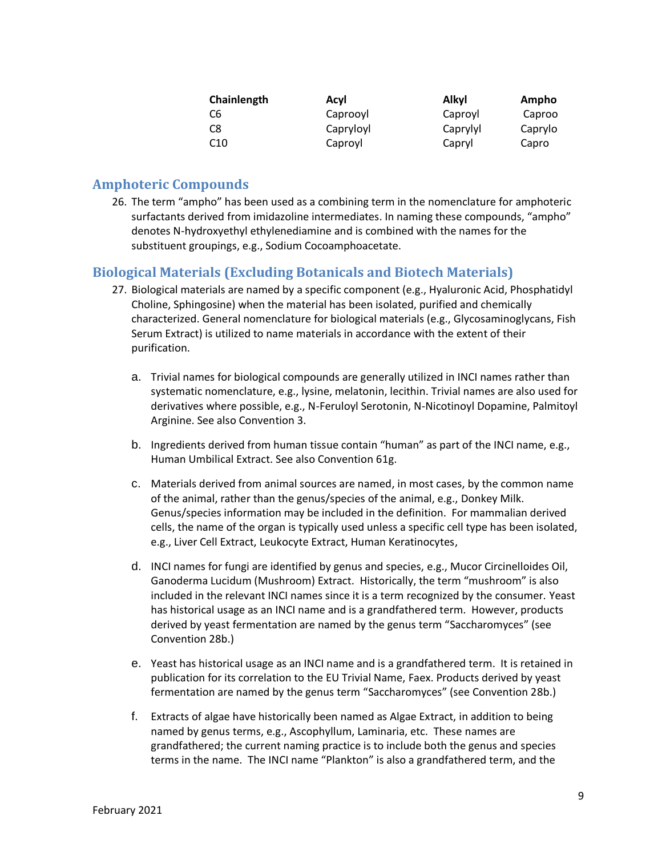| Chainlength     | Acvl      | Alkyl    | Ampho   |
|-----------------|-----------|----------|---------|
| C6              | Caprooyl  | Caproyl  | Caproo  |
| C8              | Capryloyl | Caprylyl | Caprylo |
| C <sub>10</sub> | Caproyl   | Capryl   | Capro   |

### <span id="page-8-0"></span>**Amphoteric Compounds**

26. The term "ampho" has been used as a combining term in the nomenclature for amphoteric surfactants derived from imidazoline intermediates. In naming these compounds, "ampho" denotes N-hydroxyethyl ethylenediamine and is combined with the names for the substituent groupings, e.g., Sodium Cocoamphoacetate.

## <span id="page-8-1"></span>**Biological Materials (Excluding Botanicals and Biotech Materials)**

- 27. Biological materials are named by a specific component (e.g., Hyaluronic Acid, Phosphatidyl Choline, Sphingosine) when the material has been isolated, purified and chemically characterized. General nomenclature for biological materials (e.g., Glycosaminoglycans, Fish Serum Extract) is utilized to name materials in accordance with the extent of their purification.
	- a. Trivial names for biological compounds are generally utilized in INCI names rather than systematic nomenclature, e.g., lysine, melatonin, lecithin. Trivial names are also used for derivatives where possible, e.g., N-Feruloyl Serotonin, N-Nicotinoyl Dopamine, Palmitoyl Arginine. See also Convention 3.
	- b. Ingredients derived from human tissue contain "human" as part of the INCI name, e.g., Human Umbilical Extract. See also Convention 61g.
	- c. Materials derived from animal sources are named, in most cases, by the common name of the animal, rather than the genus/species of the animal, e.g., Donkey Milk. Genus/species information may be included in the definition. For mammalian derived cells, the name of the organ is typically used unless a specific cell type has been isolated, e.g., Liver Cell Extract, Leukocyte Extract, Human Keratinocytes,
	- d. INCI names for fungi are identified by genus and species, e.g., Mucor Circinelloides Oil, Ganoderma Lucidum (Mushroom) Extract. Historically, the term "mushroom" is also included in the relevant INCI names since it is a term recognized by the consumer. Yeast has historical usage as an INCI name and is a grandfathered term. However, products derived by yeast fermentation are named by the genus term "Saccharomyces" (see Convention 28b.)
	- e. Yeast has historical usage as an INCI name and is a grandfathered term. It is retained in publication for its correlation to the EU Trivial Name, Faex. Products derived by yeast fermentation are named by the genus term "Saccharomyces" (see Convention 28b.)
	- f. Extracts of algae have historically been named as Algae Extract, in addition to being named by genus terms, e.g., Ascophyllum, Laminaria, etc. These names are grandfathered; the current naming practice is to include both the genus and species terms in the name. The INCI name "Plankton" is also a grandfathered term, and the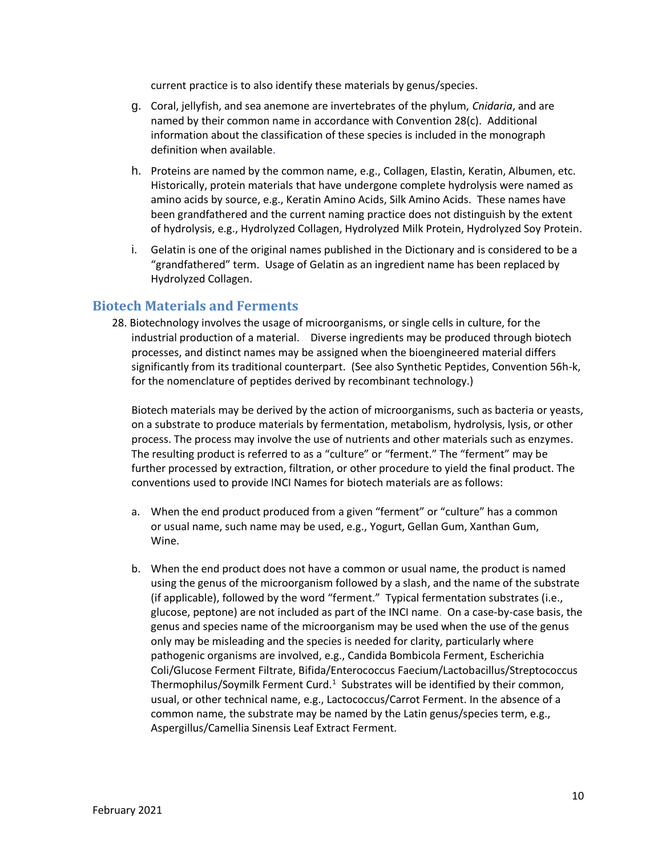current practice is to also identify these materials by genus/species.

- g. Coral, jellyfish, and sea anemone are invertebrates of the phylum, *Cnidaria*, and are named by their common name in accordance with Convention 28(c). Additional information about the classification of these species is included in the monograph definition when available.
- h. Proteins are named by the common name, e.g., Collagen, Elastin, Keratin, Albumen, etc. Historically, protein materials that have undergone complete hydrolysis were named as amino acids by source, e.g., Keratin Amino Acids, Silk Amino Acids. These names have been grandfathered and the current naming practice does not distinguish by the extent of hydrolysis, e.g., Hydrolyzed Collagen, Hydrolyzed Milk Protein, Hydrolyzed Soy Protein.
- i. Gelatin is one of the original names published in the Dictionary and is considered to be a "grandfathered" term. Usage of Gelatin as an ingredient name has been replaced by Hydrolyzed Collagen.

#### <span id="page-9-0"></span>**Biotech Materials and Ferments**

28. Biotechnology involves the usage of microorganisms, or single cells in culture, for the industrial production of a material. Diverse ingredients may be produced through biotech processes, and distinct names may be assigned when the bioengineered material differs significantly from its traditional counterpart. (See also Synthetic Peptides, Convention 56h-k, for the nomenclature of peptides derived by recombinant technology.)

Biotech materials may be derived by the action of microorganisms, such as bacteria or yeasts, on a substrate to produce materials by fermentation, metabolism, hydrolysis, lysis, or other process. The process may involve the use of nutrients and other materials such as enzymes. The resulting product is referred to as a "culture" or "ferment." The "ferment" may be further processed by extraction, filtration, or other procedure to yield the final product. The conventions used to provide INCI Names for biotech materials are as follows:

- a. When the end product produced from a given "ferment" or "culture" has a common or usual name, such name may be used, e.g., Yogurt, Gellan Gum, Xanthan Gum, Wine.
- b. When the end product does not have a common or usual name, the product is named using the genus of the microorganism followed by a slash, and the name of the substrate (if applicable), followed by the word "ferment." Typical fermentation substrates (i.e., glucose, peptone) are not included as part of the INCI name. On a case-by-case basis, the genus and species name of the microorganism may be used when the use of the genus only may be misleading and the species is needed for clarity, particularly where pathogenic organisms are involved, e.g., Candida Bombicola Ferment, Escherichia Coli/Glucose Ferment Filtrate, Bifida/Enterococcus Faecium/Lactobacillus/Streptococcus Thermophilus/Soymilk Ferment Curd. $^1$  Substrates will be identified by their common, usual, or other technical name, e.g., Lactococcus/Carrot Ferment. In the absence of a common name, the substrate may be named by the Latin genus/species term, e.g., Aspergillus/Camellia Sinensis Leaf Extract Ferment.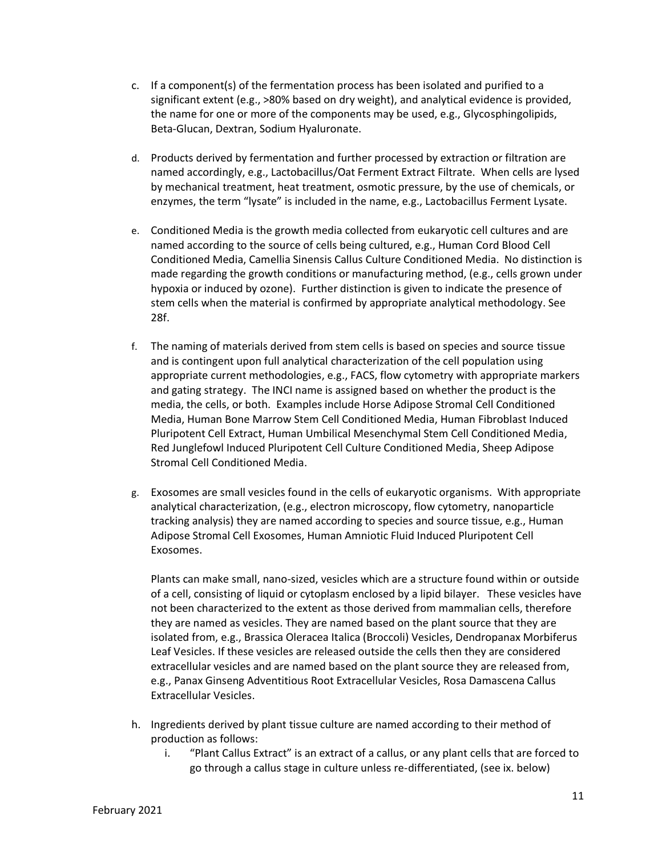- c. If a component(s) of the fermentation process has been isolated and purified to a significant extent (e.g., >80% based on dry weight), and analytical evidence is provided, the name for one or more of the components may be used, e.g., Glycosphingolipids, Beta-Glucan, Dextran, Sodium Hyaluronate.
- d. Products derived by fermentation and further processed by extraction or filtration are named accordingly, e.g., Lactobacillus/Oat Ferment Extract Filtrate. When cells are lysed by mechanical treatment, heat treatment, osmotic pressure, by the use of chemicals, or enzymes, the term "lysate" is included in the name, e.g., Lactobacillus Ferment Lysate.
- e. Conditioned Media is the growth media collected from eukaryotic cell cultures and are named according to the source of cells being cultured, e.g., Human Cord Blood Cell Conditioned Media, Camellia Sinensis Callus Culture Conditioned Media. No distinction is made regarding the growth conditions or manufacturing method, (e.g., cells grown under hypoxia or induced by ozone). Further distinction is given to indicate the presence of stem cells when the material is confirmed by appropriate analytical methodology. See 28f.
- f. The naming of materials derived from stem cells is based on species and source tissue and is contingent upon full analytical characterization of the cell population using appropriate current methodologies, e.g., FACS, flow cytometry with appropriate markers and gating strategy. The INCI name is assigned based on whether the product is the media, the cells, or both. Examples include Horse Adipose Stromal Cell Conditioned Media, Human Bone Marrow Stem Cell Conditioned Media, Human Fibroblast Induced Pluripotent Cell Extract, Human Umbilical Mesenchymal Stem Cell Conditioned Media, Red Junglefowl Induced Pluripotent Cell Culture Conditioned Media, Sheep Adipose Stromal Cell Conditioned Media.
- g. Exosomes are small vesicles found in the cells of eukaryotic organisms. With appropriate analytical characterization, (e.g., electron microscopy, flow cytometry, nanoparticle tracking analysis) they are named according to species and source tissue, e.g., Human Adipose Stromal Cell Exosomes, Human Amniotic Fluid Induced Pluripotent Cell Exosomes.

Plants can make small, nano-sized, vesicles which are a structure found within or outside of a cell, consisting of liquid or cytoplasm enclosed by a lipid bilayer. These vesicles have not been characterized to the extent as those derived from mammalian cells, therefore they are named as vesicles. They are named based on the plant source that they are isolated from, e.g., Brassica Oleracea Italica (Broccoli) Vesicles, Dendropanax Morbiferus Leaf Vesicles. If these vesicles are released outside the cells then they are considered extracellular vesicles and are named based on the plant source they are released from, e.g., Panax Ginseng Adventitious Root Extracellular Vesicles, Rosa Damascena Callus Extracellular Vesicles.

- h. Ingredients derived by plant tissue culture are named according to their method of production as follows:
	- i. "Plant Callus Extract" is an extract of a callus, or any plant cells that are forced to go through a callus stage in culture unless re-differentiated, (see ix. below)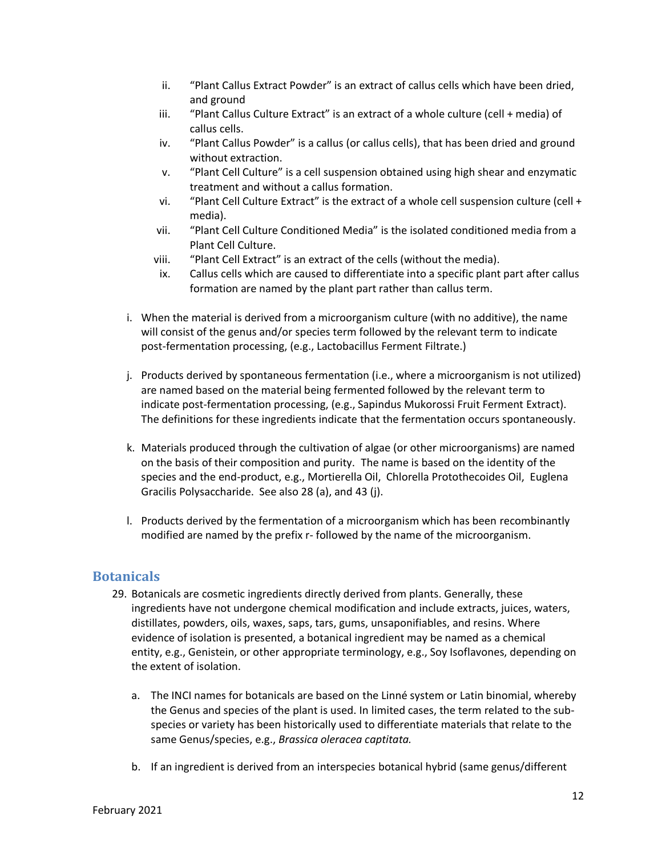- ii. "Plant Callus Extract Powder" is an extract of callus cells which have been dried, and ground
- iii. "Plant Callus Culture Extract" is an extract of a whole culture (cell + media) of callus cells.
- iv. "Plant Callus Powder" is a callus (or callus cells), that has been dried and ground without extraction.
- v. "Plant Cell Culture" is a cell suspension obtained using high shear and enzymatic treatment and without a callus formation.
- vi. "Plant Cell Culture Extract" is the extract of a whole cell suspension culture (cell + media).
- vii. "Plant Cell Culture Conditioned Media" is the isolated conditioned media from a Plant Cell Culture.
- viii. "Plant Cell Extract" is an extract of the cells (without the media).
- ix. Callus cells which are caused to differentiate into a specific plant part after callus formation are named by the plant part rather than callus term.
- i. When the material is derived from a microorganism culture (with no additive), the name will consist of the genus and/or species term followed by the relevant term to indicate post-fermentation processing, (e.g., Lactobacillus Ferment Filtrate.)
- j. Products derived by spontaneous fermentation (i.e., where a microorganism is not utilized) are named based on the material being fermented followed by the relevant term to indicate post-fermentation processing, (e.g., Sapindus Mukorossi Fruit Ferment Extract). The definitions for these ingredients indicate that the fermentation occurs spontaneously.
- k. Materials produced through the cultivation of algae (or other microorganisms) are named on the basis of their composition and purity. The name is based on the identity of the species and the end-product, e.g., Mortierella Oil, Chlorella Protothecoides Oil, Euglena Gracilis Polysaccharide. See also 28 (a), and 43 (j).
- l. Products derived by the fermentation of a microorganism which has been recombinantly modified are named by the prefix r- followed by the name of the microorganism.

## <span id="page-11-0"></span>**Botanicals**

- 29. Botanicals are cosmetic ingredients directly derived from plants. Generally, these ingredients have not undergone chemical modification and include extracts, juices, waters, distillates, powders, oils, waxes, saps, tars, gums, unsaponifiables, and resins. Where evidence of isolation is presented, a botanical ingredient may be named as a chemical entity, e.g., Genistein, or other appropriate terminology, e.g., Soy Isoflavones, depending on the extent of isolation.
	- a. The INCI names for botanicals are based on the Linné system or Latin binomial, whereby the Genus and species of the plant is used. In limited cases, the term related to the subspecies or variety has been historically used to differentiate materials that relate to the same Genus/species, e.g., *Brassica oleracea captitata.*
	- b. If an ingredient is derived from an interspecies botanical hybrid (same genus/different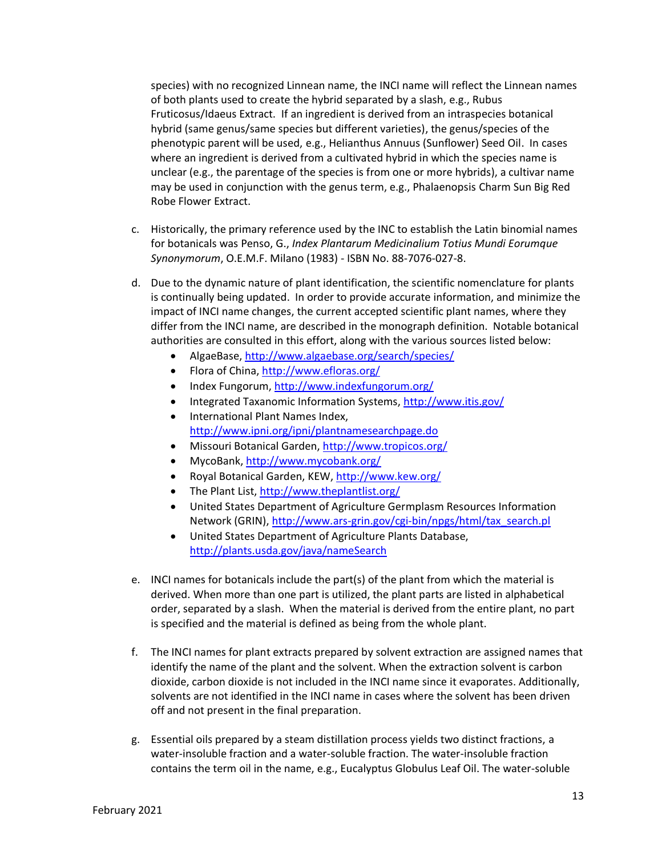species) with no recognized Linnean name, the INCI name will reflect the Linnean names of both plants used to create the hybrid separated by a slash, e.g., Rubus Fruticosus/Idaeus Extract. If an ingredient is derived from an intraspecies botanical hybrid (same genus/same species but different varieties), the genus/species of the phenotypic parent will be used, e.g., Helianthus Annuus (Sunflower) Seed Oil. In cases where an ingredient is derived from a cultivated hybrid in which the species name is unclear (e.g., the parentage of the species is from one or more hybrids), a cultivar name may be used in conjunction with the genus term, e.g., Phalaenopsis Charm Sun Big Red Robe Flower Extract.

- c. Historically, the primary reference used by the INC to establish the Latin binomial names for botanicals was Penso, G., *Index Plantarum Medicinalium Totius Mundi Eorumque Synonymorum*, O.E.M.F. Milano (1983) - ISBN No. 88-7076-027-8.
- d. Due to the dynamic nature of plant identification, the scientific nomenclature for plants is continually being updated. In order to provide accurate information, and minimize the impact of INCI name changes, the current accepted scientific plant names, where they differ from the INCI name, are described in the monograph definition. Notable botanical authorities are consulted in this effort, along with the various sources listed below:
	- AlgaeBase[, http://www.algaebase.org/search/species/](http://www.algaebase.org/search/species/)
	- Flora of China, [http://www.efloras.org/](http://www.efloras.org/flora_page.aspx?flora_id=2)
	- Index Fungorum,<http://www.indexfungorum.org/>
	- Integrated Taxanomic Information Systems,<http://www.itis.gov/>
	- International Plant Names Index, <http://www.ipni.org/ipni/plantnamesearchpage.do>
	- Missouri Botanical Garden[, http://www.tropicos.org/](http://www.tropicos.org/)
	- MycoBank[, http://www.mycobank.org/](http://www.mycobank.org/Biolomics.aspx?Table=Mycobank&Page=200&ViewMode=Basic)
	- Royal Botanical Garden, KEW,<http://www.kew.org/>
	- The Plant List,<http://www.theplantlist.org/>
	- United States Department of Agriculture Germplasm Resources Information Network (GRIN)[, http://www.ars-grin.gov/cgi-bin/npgs/html/tax\\_search.pl](http://www.ars-grin.gov/cgi-bin/npgs/html/tax_search.pl)
	- United States Department of Agriculture Plants Database, <http://plants.usda.gov/java/nameSearch>
- e. INCI names for botanicals include the part(s) of the plant from which the material is derived. When more than one part is utilized, the plant parts are listed in alphabetical order, separated by a slash. When the material is derived from the entire plant, no part is specified and the material is defined as being from the whole plant.
- f. The INCI names for plant extracts prepared by solvent extraction are assigned names that identify the name of the plant and the solvent. When the extraction solvent is carbon dioxide, carbon dioxide is not included in the INCI name since it evaporates. Additionally, solvents are not identified in the INCI name in cases where the solvent has been driven off and not present in the final preparation.
- g. Essential oils prepared by a steam distillation process yields two distinct fractions, a water-insoluble fraction and a water-soluble fraction. The water-insoluble fraction contains the term oil in the name, e.g., Eucalyptus Globulus Leaf Oil. The water-soluble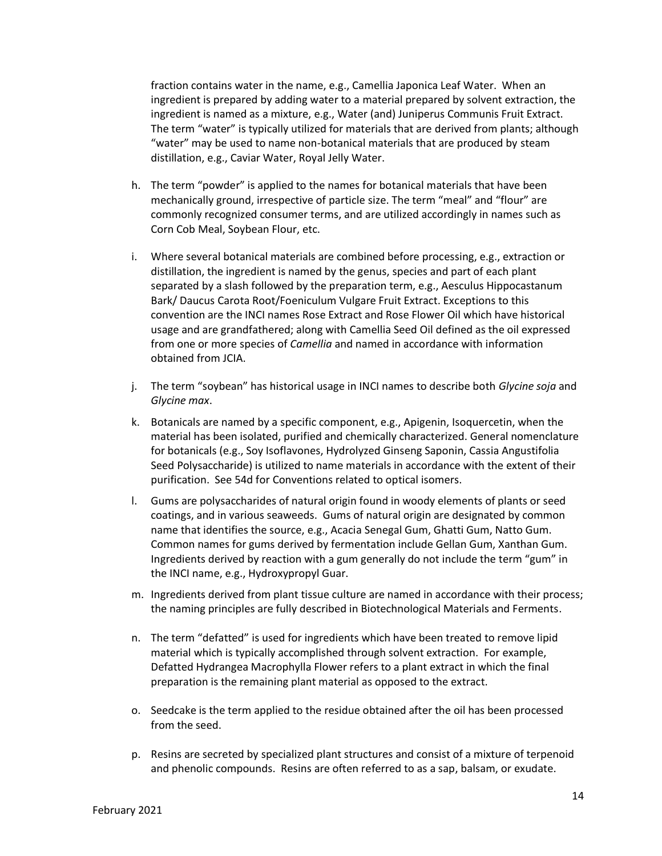fraction contains water in the name, e.g., Camellia Japonica Leaf Water. When an ingredient is prepared by adding water to a material prepared by solvent extraction, the ingredient is named as a mixture, e.g., Water (and) Juniperus Communis Fruit Extract. The term "water" is typically utilized for materials that are derived from plants; although "water" may be used to name non-botanical materials that are produced by steam distillation, e.g., Caviar Water, Royal Jelly Water.

- h. The term "powder" is applied to the names for botanical materials that have been mechanically ground, irrespective of particle size. The term "meal" and "flour" are commonly recognized consumer terms, and are utilized accordingly in names such as Corn Cob Meal, Soybean Flour, etc.
- i. Where several botanical materials are combined before processing, e.g., extraction or distillation, the ingredient is named by the genus, species and part of each plant separated by a slash followed by the preparation term, e.g., Aesculus Hippocastanum Bark/ Daucus Carota Root/Foeniculum Vulgare Fruit Extract. Exceptions to this convention are the INCI names Rose Extract and Rose Flower Oil which have historical usage and are grandfathered; along with Camellia Seed Oil defined as the oil expressed from one or more species of *Camellia* and named in accordance with information obtained from JCIA.
- j. The term "soybean" has historical usage in INCI names to describe both *Glycine soja* and *Glycine max*.
- k. Botanicals are named by a specific component, e.g., Apigenin, Isoquercetin, when the material has been isolated, purified and chemically characterized. General nomenclature for botanicals (e.g., Soy Isoflavones, Hydrolyzed Ginseng Saponin, Cassia Angustifolia Seed Polysaccharide) is utilized to name materials in accordance with the extent of their purification. See 54d for Conventions related to optical isomers.
- l. Gums are polysaccharides of natural origin found in woody elements of plants or seed coatings, and in various seaweeds. Gums of natural origin are designated by common name that identifies the source, e.g., Acacia Senegal Gum, Ghatti Gum, Natto Gum. Common names for gums derived by fermentation include Gellan Gum, Xanthan Gum. Ingredients derived by reaction with a gum generally do not include the term "gum" in the INCI name, e.g., Hydroxypropyl Guar.
- m. Ingredients derived from plant tissue culture are named in accordance with their process; the naming principles are fully described in Biotechnological Materials and Ferments.
- n. The term "defatted" is used for ingredients which have been treated to remove lipid material which is typically accomplished through solvent extraction. For example, Defatted Hydrangea Macrophylla Flower refers to a plant extract in which the final preparation is the remaining plant material as opposed to the extract.
- o. Seedcake is the term applied to the residue obtained after the oil has been processed from the seed.
- p. Resins are secreted by specialized plant structures and consist of a mixture of terpenoid and phenolic compounds. Resins are often referred to as a sap, balsam, or exudate.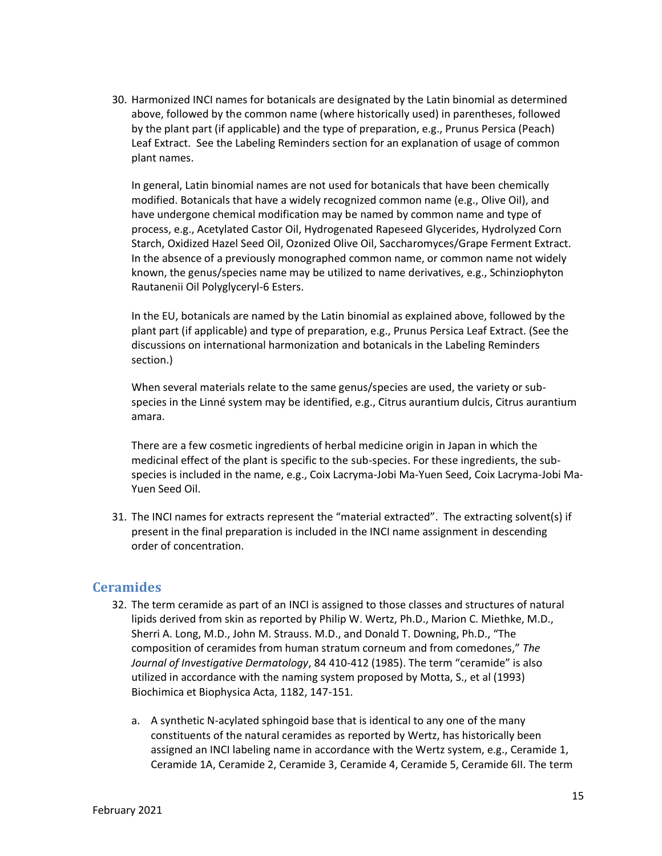30. Harmonized INCI names for botanicals are designated by the Latin binomial as determined above, followed by the common name (where historically used) in parentheses, followed by the plant part (if applicable) and the type of preparation, e.g., Prunus Persica (Peach) Leaf Extract. See the Labeling Reminders section for an explanation of usage of common plant names.

In general, Latin binomial names are not used for botanicals that have been chemically modified. Botanicals that have a widely recognized common name (e.g., Olive Oil), and have undergone chemical modification may be named by common name and type of process, e.g., Acetylated Castor Oil, Hydrogenated Rapeseed Glycerides, Hydrolyzed Corn Starch, Oxidized Hazel Seed Oil, Ozonized Olive Oil, Saccharomyces/Grape Ferment Extract. In the absence of a previously monographed common name, or common name not widely known, the genus/species name may be utilized to name derivatives, e.g., Schinziophyton Rautanenii Oil Polyglyceryl-6 Esters.

In the EU, botanicals are named by the Latin binomial as explained above, followed by the plant part (if applicable) and type of preparation, e.g., Prunus Persica Leaf Extract. (See the discussions on international harmonization and botanicals in the Labeling Reminders section.)

When several materials relate to the same genus/species are used, the variety or subspecies in the Linné system may be identified, e.g., Citrus aurantium dulcis, Citrus aurantium amara.

There are a few cosmetic ingredients of herbal medicine origin in Japan in which the medicinal effect of the plant is specific to the sub-species. For these ingredients, the subspecies is included in the name, e.g., Coix Lacryma-Jobi Ma-Yuen Seed, Coix Lacryma-Jobi Ma-Yuen Seed Oil.

31. The INCI names for extracts represent the "material extracted". The extracting solvent(s) if present in the final preparation is included in the INCI name assignment in descending order of concentration.

#### <span id="page-14-0"></span>**Ceramides**

- 32. The term ceramide as part of an INCI is assigned to those classes and structures of natural lipids derived from skin as reported by Philip W. Wertz, Ph.D., Marion C. Miethke, M.D., Sherri A. Long, M.D., John M. Strauss. M.D., and Donald T. Downing, Ph.D., "The composition of ceramides from human stratum corneum and from comedones," *The Journal of Investigative Dermatology*, 84 410-412 (1985). The term "ceramide" is also utilized in accordance with the naming system proposed by Motta, S., et al (1993) Biochimica et Biophysica Acta, 1182, 147-151.
	- a. A synthetic N-acylated sphingoid base that is identical to any one of the many constituents of the natural ceramides as reported by Wertz, has historically been assigned an INCI labeling name in accordance with the Wertz system, e.g., Ceramide 1, Ceramide 1A, Ceramide 2, Ceramide 3, Ceramide 4, Ceramide 5, Ceramide 6II. The term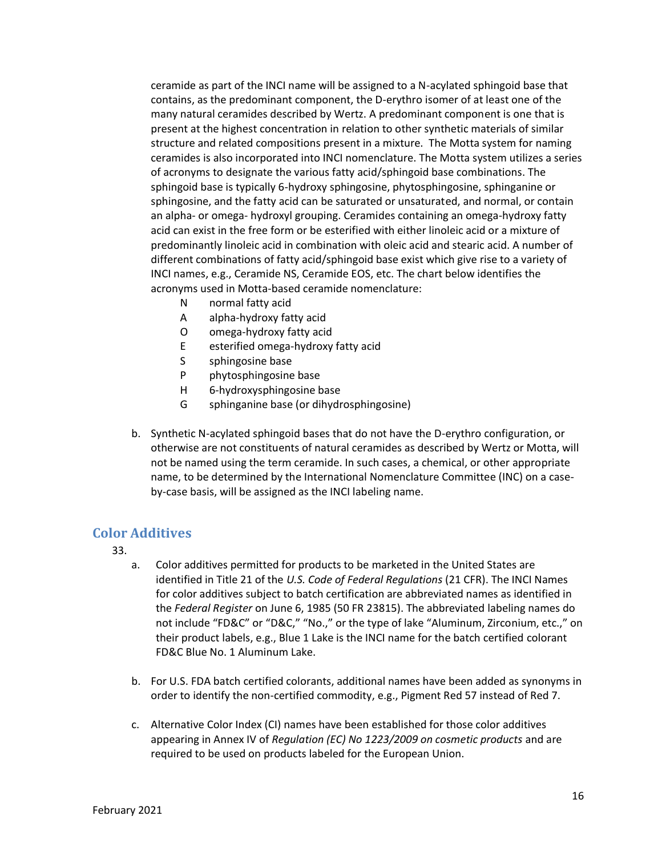ceramide as part of the INCI name will be assigned to a N-acylated sphingoid base that contains, as the predominant component, the D-erythro isomer of at least one of the many natural ceramides described by Wertz. A predominant component is one that is present at the highest concentration in relation to other synthetic materials of similar structure and related compositions present in a mixture. The Motta system for naming ceramides is also incorporated into INCI nomenclature. The Motta system utilizes a series of acronyms to designate the various fatty acid/sphingoid base combinations. The sphingoid base is typically 6-hydroxy sphingosine, phytosphingosine, sphinganine or sphingosine, and the fatty acid can be saturated or unsaturated, and normal, or contain an alpha- or omega- hydroxyl grouping. Ceramides containing an omega-hydroxy fatty acid can exist in the free form or be esterified with either linoleic acid or a mixture of predominantly linoleic acid in combination with oleic acid and stearic acid. A number of different combinations of fatty acid/sphingoid base exist which give rise to a variety of INCI names, e.g., Ceramide NS, Ceramide EOS, etc. The chart below identifies the acronyms used in Motta-based ceramide nomenclature:

- N normal fatty acid
- A alpha-hydroxy fatty acid
- O omega-hydroxy fatty acid
- E esterified omega-hydroxy fatty acid
- S sphingosine base
- P phytosphingosine base
- H 6-hydroxysphingosine base
- G sphinganine base (or dihydrosphingosine)
- b. Synthetic N-acylated sphingoid bases that do not have the D-erythro configuration, or otherwise are not constituents of natural ceramides as described by Wertz or Motta, will not be named using the term ceramide. In such cases, a chemical, or other appropriate name, to be determined by the International Nomenclature Committee (INC) on a caseby-case basis, will be assigned as the INCI labeling name.

#### <span id="page-15-0"></span>**Color Additives**

- 33.
	- a. Color additives permitted for products to be marketed in the United States are identified in Title 21 of the *U.S. Code of Federal Regulations* (21 CFR). The INCI Names for color additives subject to batch certification are abbreviated names as identified in the *Federal Register* on June 6, 1985 (50 FR 23815). The abbreviated labeling names do not include "FD&C" or "D&C," "No.," or the type of lake "Aluminum, Zirconium, etc.," on their product labels, e.g., Blue 1 Lake is the INCI name for the batch certified colorant FD&C Blue No. 1 Aluminum Lake.
	- b. For U.S. FDA batch certified colorants, additional names have been added as synonyms in order to identify the non-certified commodity, e.g., Pigment Red 57 instead of Red 7.
	- c. Alternative Color Index (CI) names have been established for those color additives appearing in Annex IV of *Regulation (EC) No 1223/2009 on cosmetic products* and are required to be used on products labeled for the European Union.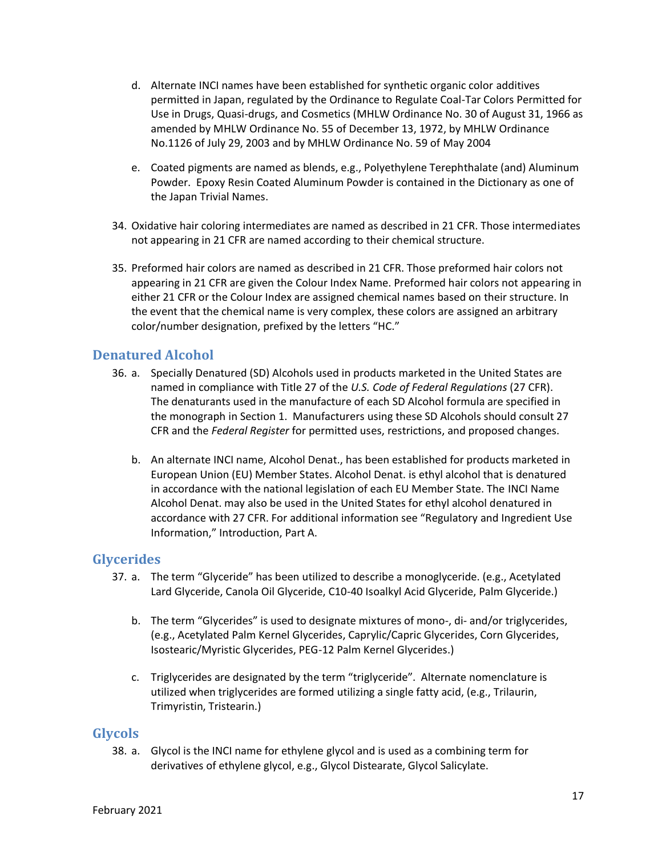- d. Alternate INCI names have been established for synthetic organic color additives permitted in Japan, regulated by the Ordinance to Regulate Coal-Tar Colors Permitted for Use in Drugs, Quasi-drugs, and Cosmetics (MHLW Ordinance No. 30 of August 31, 1966 as amended by MHLW Ordinance No. 55 of December 13, 1972, by MHLW Ordinance No.1126 of July 29, 2003 and by MHLW Ordinance No. 59 of May 2004
- e. Coated pigments are named as blends, e.g., Polyethylene Terephthalate (and) Aluminum Powder. Epoxy Resin Coated Aluminum Powder is contained in the Dictionary as one of the Japan Trivial Names.
- 34. Oxidative hair coloring intermediates are named as described in 21 CFR. Those intermediates not appearing in 21 CFR are named according to their chemical structure.
- 35. Preformed hair colors are named as described in 21 CFR. Those preformed hair colors not appearing in 21 CFR are given the Colour Index Name. Preformed hair colors not appearing in either 21 CFR or the Colour Index are assigned chemical names based on their structure. In the event that the chemical name is very complex, these colors are assigned an arbitrary color/number designation, prefixed by the letters "HC."

#### <span id="page-16-0"></span>**Denatured Alcohol**

- 36. a. Specially Denatured (SD) Alcohols used in products marketed in the United States are named in compliance with Title 27 of the *U.S. Code of Federal Regulations* (27 CFR). The denaturants used in the manufacture of each SD Alcohol formula are specified in the monograph in Section 1. Manufacturers using these SD Alcohols should consult 27 CFR and the *Federal Register* for permitted uses, restrictions, and proposed changes.
	- b. An alternate INCI name, Alcohol Denat., has been established for products marketed in European Union (EU) Member States. Alcohol Denat. is ethyl alcohol that is denatured in accordance with the national legislation of each EU Member State. The INCI Name Alcohol Denat. may also be used in the United States for ethyl alcohol denatured in accordance with 27 CFR. For additional information see "Regulatory and Ingredient Use Information," Introduction, Part A.

#### <span id="page-16-1"></span>**Glycerides**

- 37. a. The term "Glyceride" has been utilized to describe a monoglyceride. (e.g., Acetylated Lard Glyceride, Canola Oil Glyceride, C10-40 Isoalkyl Acid Glyceride, Palm Glyceride.)
	- b. The term "Glycerides" is used to designate mixtures of mono-, di- and/or triglycerides, (e.g., Acetylated Palm Kernel Glycerides, Caprylic/Capric Glycerides, Corn Glycerides, Isostearic/Myristic Glycerides, PEG-12 Palm Kernel Glycerides.)
	- c. Triglycerides are designated by the term "triglyceride". Alternate nomenclature is utilized when triglycerides are formed utilizing a single fatty acid, (e.g., Trilaurin, Trimyristin, Tristearin.)

#### <span id="page-16-2"></span>**Glycols**

38. a. Glycol is the INCI name for ethylene glycol and is used as a combining term for derivatives of ethylene glycol, e.g., Glycol Distearate, Glycol Salicylate.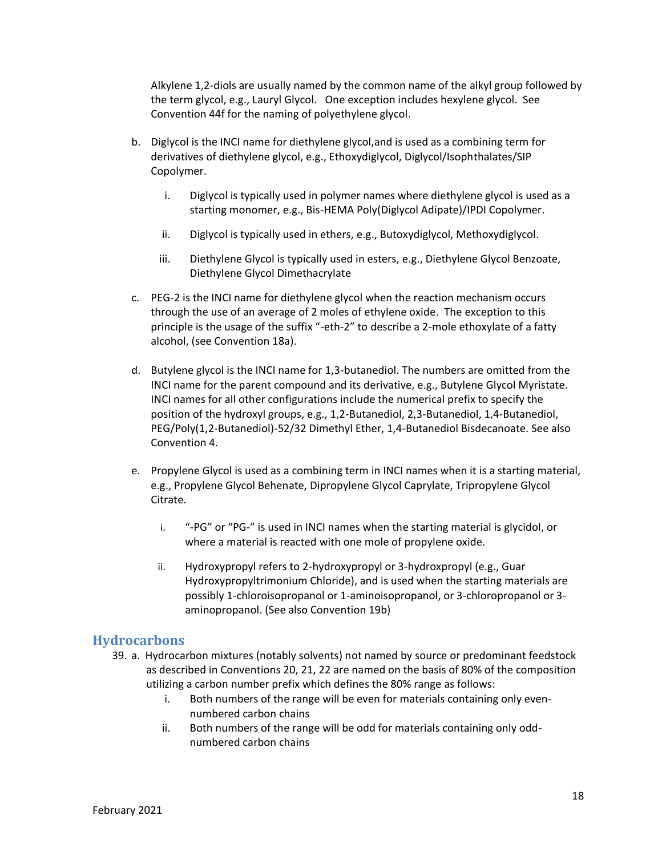Alkylene 1,2-diols are usually named by the common name of the alkyl group followed by the term glycol, e.g., Lauryl Glycol. One exception includes hexylene glycol. See Convention 44f for the naming of polyethylene glycol.

- b. Diglycol is the INCI name for diethylene glycol,and is used as a combining term for derivatives of diethylene glycol, e.g., Ethoxydiglycol, Diglycol/Isophthalates/SIP Copolymer.
	- i. Diglycol is typically used in polymer names where diethylene glycol is used as a starting monomer, e.g., Bis-HEMA Poly(Diglycol Adipate)/IPDI Copolymer.
	- ii. Diglycol is typically used in ethers, e.g., Butoxydiglycol, Methoxydiglycol.
	- iii. Diethylene Glycol is typically used in esters, e.g., Diethylene Glycol Benzoate, Diethylene Glycol Dimethacrylate
- c. PEG-2 is the INCI name for diethylene glycol when the reaction mechanism occurs through the use of an average of 2 moles of ethylene oxide. The exception to this principle is the usage of the suffix "-eth-2" to describe a 2-mole ethoxylate of a fatty alcohol, (see Convention 18a).
- d. Butylene glycol is the INCI name for 1,3-butanediol. The numbers are omitted from the INCI name for the parent compound and its derivative, e.g., Butylene Glycol Myristate. INCI names for all other configurations include the numerical prefix to specify the position of the hydroxyl groups, e.g., 1,2-Butanediol, 2,3-Butanediol, 1,4-Butanediol, PEG/Poly(1,2-Butanediol)-52/32 Dimethyl Ether, 1,4-Butanediol Bisdecanoate. See also Convention 4.
- e. Propylene Glycol is used as a combining term in INCI names when it is a starting material, e.g., Propylene Glycol Behenate, Dipropylene Glycol Caprylate, Tripropylene Glycol Citrate.
	- i. "-PG" or "PG-" is used in INCI names when the starting material is glycidol, or where a material is reacted with one mole of propylene oxide.
	- ii. Hydroxypropyl refers to 2-hydroxypropyl or 3-hydroxpropyl (e.g., Guar Hydroxypropyltrimonium Chloride), and is used when the starting materials are possibly 1-chloroisopropanol or 1-aminoisopropanol, or 3-chloropropanol or 3 aminopropanol. (See also Convention 19b)

#### <span id="page-17-0"></span>**Hydrocarbons**

- 39. a. Hydrocarbon mixtures (notably solvents) not named by source or predominant feedstock as described in Conventions 20, 21, 22 are named on the basis of 80% of the composition utilizing a carbon number prefix which defines the 80% range as follows:
	- i. Both numbers of the range will be even for materials containing only evennumbered carbon chains
	- ii. Both numbers of the range will be odd for materials containing only oddnumbered carbon chains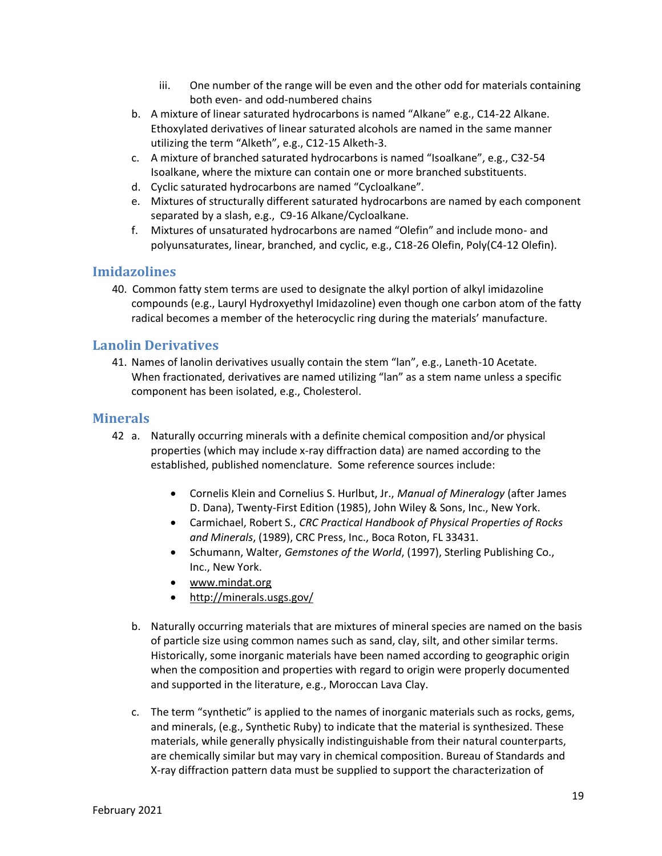- iii. One number of the range will be even and the other odd for materials containing both even- and odd-numbered chains
- b. A mixture of linear saturated hydrocarbons is named "Alkane" e.g., C14-22 Alkane. Ethoxylated derivatives of linear saturated alcohols are named in the same manner utilizing the term "Alketh", e.g., C12-15 Alketh-3.
- c. A mixture of branched saturated hydrocarbons is named "Isoalkane", e.g., C32-54 Isoalkane, where the mixture can contain one or more branched substituents.
- d. Cyclic saturated hydrocarbons are named "Cycloalkane".
- e. Mixtures of structurally different saturated hydrocarbons are named by each component separated by a slash, e.g., C9-16 Alkane/Cycloalkane.
- f. Mixtures of unsaturated hydrocarbons are named "Olefin" and include mono- and polyunsaturates, linear, branched, and cyclic, e.g., C18-26 Olefin, Poly(C4-12 Olefin).

#### <span id="page-18-0"></span>**Imidazolines**

40. Common fatty stem terms are used to designate the alkyl portion of alkyl imidazoline compounds (e.g., Lauryl Hydroxyethyl Imidazoline) even though one carbon atom of the fatty radical becomes a member of the heterocyclic ring during the materials' manufacture.

#### <span id="page-18-1"></span>**Lanolin Derivatives**

41. Names of lanolin derivatives usually contain the stem "lan", e.g., Laneth-10 Acetate. When fractionated, derivatives are named utilizing "lan" as a stem name unless a specific component has been isolated, e.g., Cholesterol.

#### <span id="page-18-2"></span>**Minerals**

- 42 a. Naturally occurring minerals with a definite chemical composition and/or physical properties (which may include x-ray diffraction data) are named according to the established, published nomenclature. Some reference sources include:
	- Cornelis Klein and Cornelius S. Hurlbut, Jr., *Manual of Mineralogy* (after James D. Dana), Twenty-First Edition (1985), John Wiley & Sons, Inc., New York.
	- Carmichael, Robert S., *CRC Practical Handbook of Physical Properties of Rocks and Minerals*, (1989), CRC Press, Inc., Boca Roton, FL 33431.
	- Schumann, Walter, *Gemstones of the World*, (1997), Sterling Publishing Co., Inc., New York.
	- [www.mindat.org](http://www.mindat.org/)
	- <http://minerals.usgs.gov/>
	- b. Naturally occurring materials that are mixtures of mineral species are named on the basis of particle size using common names such as sand, clay, silt, and other similar terms. Historically, some inorganic materials have been named according to geographic origin when the composition and properties with regard to origin were properly documented and supported in the literature, e.g., Moroccan Lava Clay.
	- c. The term "synthetic" is applied to the names of inorganic materials such as rocks, gems, and minerals, (e.g., Synthetic Ruby) to indicate that the material is synthesized. These materials, while generally physically indistinguishable from their natural counterparts, are chemically similar but may vary in chemical composition. Bureau of Standards and X-ray diffraction pattern data must be supplied to support the characterization of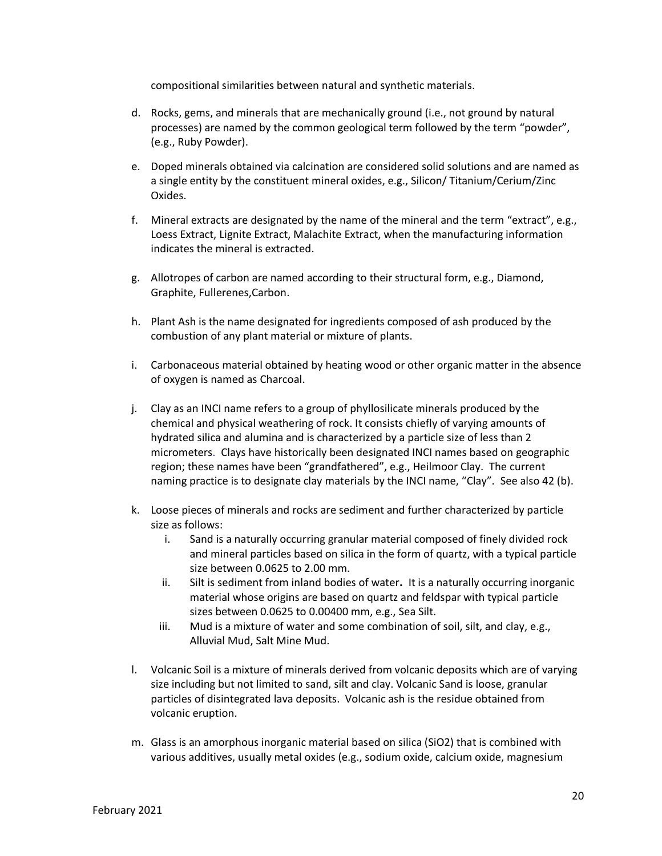compositional similarities between natural and synthetic materials.

- d. Rocks, gems, and minerals that are mechanically ground (i.e., not ground by natural processes) are named by the common geological term followed by the term "powder", (e.g., Ruby Powder).
- e. Doped minerals obtained via calcination are considered solid solutions and are named as a single entity by the constituent mineral oxides, e.g., Silicon/ Titanium/Cerium/Zinc Oxides.
- f. Mineral extracts are designated by the name of the mineral and the term "extract", e.g., Loess Extract, Lignite Extract, Malachite Extract, when the manufacturing information indicates the mineral is extracted.
- g. Allotropes of carbon are named according to their structural form, e.g., Diamond, Graphite, Fullerenes,Carbon.
- h. Plant Ash is the name designated for ingredients composed of ash produced by the combustion of any plant material or mixture of plants.
- i. Carbonaceous material obtained by heating wood or other organic matter in the absence of oxygen is named as Charcoal.
- j. Clay as an INCI name refers to a group of phyllosilicate minerals produced by the chemical and physical weathering of rock. It consists chiefly of varying amounts of hydrated silica and alumina and is characterized by a particle size of less than 2 micrometers. Clays have historically been designated INCI names based on geographic region; these names have been "grandfathered", e.g., Heilmoor Clay. The current naming practice is to designate clay materials by the INCI name, "Clay". See also 42 (b).
- k. Loose pieces of minerals and rocks are sediment and further characterized by particle size as follows:
	- i. Sand is a naturally occurring granular material composed of finely divided rock and mineral particles based on silica in the form of quartz, with a typical particle size between 0.0625 to 2.00 mm.
	- ii. Silt is sediment from inland bodies of water**.** It is a naturally occurring inorganic material whose origins are based on quartz and feldspar with typical particle sizes between 0.0625 to 0.00400 mm, e.g., Sea Silt.
	- iii. Mud is a mixture of water and some combination of soil, silt, and clay, e.g., Alluvial Mud, Salt Mine Mud.
- l. Volcanic Soil is a mixture of minerals derived from volcanic deposits which are of varying size including but not limited to sand, silt and clay. Volcanic Sand is loose, granular particles of disintegrated lava deposits. Volcanic ash is the residue obtained from volcanic eruption.
- m. Glass is an amorphous inorganic material based on silica (SiO2) that is combined with various additives, usually metal oxides (e.g., sodium oxide, calcium oxide, magnesium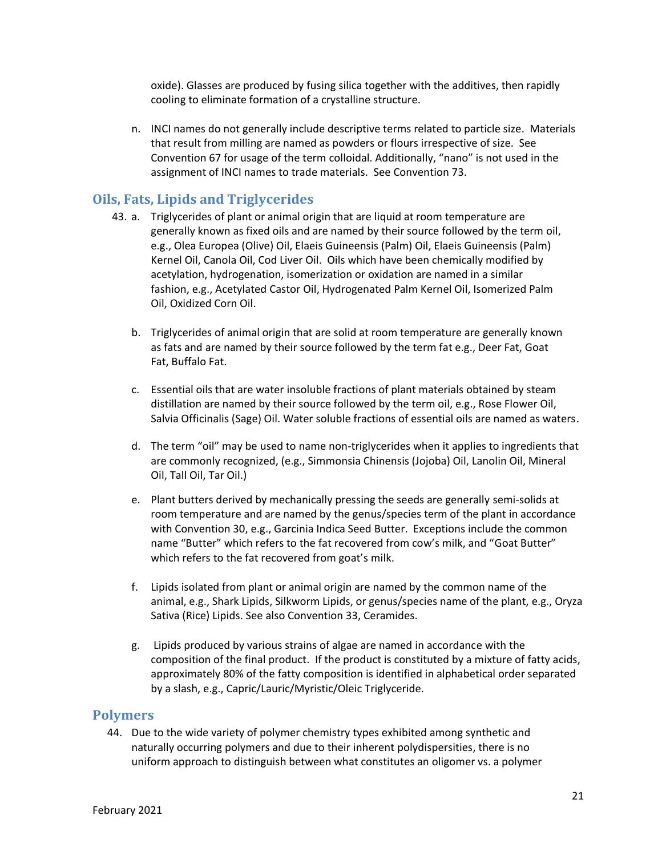oxide). Glasses are produced by fusing silica together with the additives, then rapidly cooling to eliminate formation of a crystalline structure.

n. INCI names do not generally include descriptive terms related to particle size. Materials that result from milling are named as powders or flours irrespective of size. See Convention 67 for usage of the term colloidal. Additionally, "nano" is not used in the assignment of INCI names to trade materials. See Convention 73.

## <span id="page-20-0"></span>**Oils, Fats, Lipids and Triglycerides**

- 43. a. Triglycerides of plant or animal origin that are liquid at room temperature are generally known as fixed oils and are named by their source followed by the term oil, e.g., Olea Europea (Olive) Oil, Elaeis Guineensis (Palm) Oil, Elaeis Guineensis (Palm) Kernel Oil, Canola Oil, Cod Liver Oil. Oils which have been chemically modified by acetylation, hydrogenation, isomerization or oxidation are named in a similar fashion, e.g., Acetylated Castor Oil, Hydrogenated Palm Kernel Oil, Isomerized Palm Oil, Oxidized Corn Oil.
	- b. Triglycerides of animal origin that are solid at room temperature are generally known as fats and are named by their source followed by the term fat e.g., Deer Fat, Goat Fat, Buffalo Fat.
	- c. Essential oils that are water insoluble fractions of plant materials obtained by steam distillation are named by their source followed by the term oil, e.g., Rose Flower Oil, Salvia Officinalis (Sage) Oil. Water soluble fractions of essential oils are named as waters.
	- d. The term "oil" may be used to name non-triglycerides when it applies to ingredients that are commonly recognized, (e.g., Simmonsia Chinensis (Jojoba) Oil, Lanolin Oil, Mineral Oil, Tall Oil, Tar Oil.)
	- e. Plant butters derived by mechanically pressing the seeds are generally semi-solids at room temperature and are named by the genus/species term of the plant in accordance with Convention 30, e.g., Garcinia Indica Seed Butter. Exceptions include the common name "Butter" which refers to the fat recovered from cow's milk, and "Goat Butter" which refers to the fat recovered from goat's milk.
	- f. Lipids isolated from plant or animal origin are named by the common name of the animal, e.g., Shark Lipids, Silkworm Lipids, or genus/species name of the plant, e.g., Oryza Sativa (Rice) Lipids. See also Convention 33, Ceramides.
	- g. Lipids produced by various strains of algae are named in accordance with the composition of the final product. If the product is constituted by a mixture of fatty acids, approximately 80% of the fatty composition is identified in alphabetical order separated by a slash, e.g., Capric/Lauric/Myristic/Oleic Triglyceride.

#### <span id="page-20-1"></span>**Polymers**

44. Due to the wide variety of polymer chemistry types exhibited among synthetic and naturally occurring polymers and due to their inherent polydispersities, there is no uniform approach to distinguish between what constitutes an oligomer vs. a polymer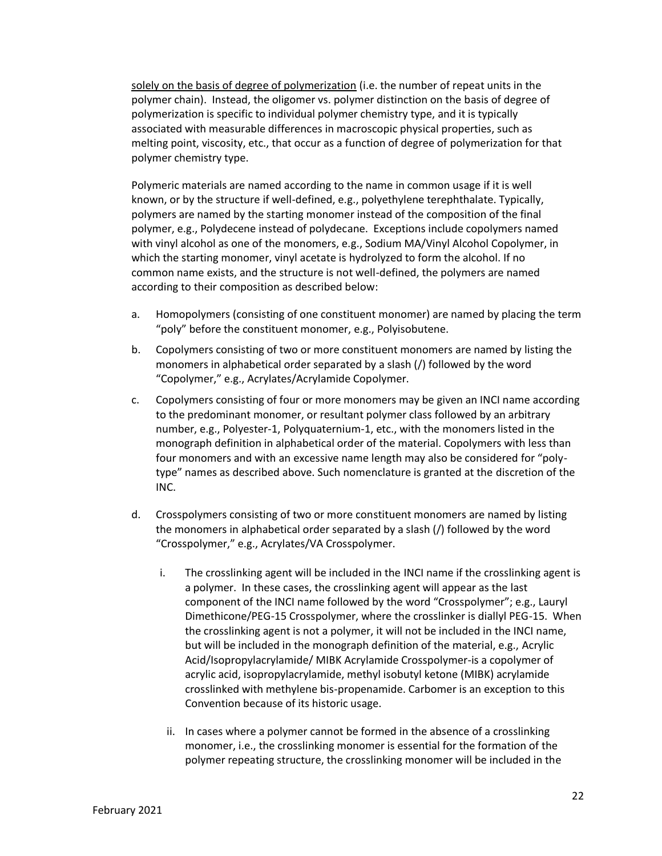solely on the basis of degree of polymerization (i.e. the number of repeat units in the polymer chain). Instead, the oligomer vs. polymer distinction on the basis of degree of polymerization is specific to individual polymer chemistry type, and it is typically associated with measurable differences in macroscopic physical properties, such as melting point, viscosity, etc., that occur as a function of degree of polymerization for that polymer chemistry type.

Polymeric materials are named according to the name in common usage if it is well known, or by the structure if well-defined, e.g., polyethylene terephthalate. Typically, polymers are named by the starting monomer instead of the composition of the final polymer, e.g., Polydecene instead of polydecane. Exceptions include copolymers named with vinyl alcohol as one of the monomers, e.g., Sodium MA/Vinyl Alcohol Copolymer, in which the starting monomer, vinyl acetate is hydrolyzed to form the alcohol. If no common name exists, and the structure is not well-defined, the polymers are named according to their composition as described below:

- a. Homopolymers (consisting of one constituent monomer) are named by placing the term "poly" before the constituent monomer, e.g., Polyisobutene.
- b. Copolymers consisting of two or more constituent monomers are named by listing the monomers in alphabetical order separated by a slash (/) followed by the word "Copolymer," e.g., Acrylates/Acrylamide Copolymer.
- c. Copolymers consisting of four or more monomers may be given an INCI name according to the predominant monomer, or resultant polymer class followed by an arbitrary number, e.g., Polyester-1, Polyquaternium-1, etc., with the monomers listed in the monograph definition in alphabetical order of the material. Copolymers with less than four monomers and with an excessive name length may also be considered for "polytype" names as described above. Such nomenclature is granted at the discretion of the INC.
- d. Crosspolymers consisting of two or more constituent monomers are named by listing the monomers in alphabetical order separated by a slash (/) followed by the word "Crosspolymer," e.g., Acrylates/VA Crosspolymer.
	- i. The crosslinking agent will be included in the INCI name if the crosslinking agent is a polymer. In these cases, the crosslinking agent will appear as the last component of the INCI name followed by the word "Crosspolymer"; e.g., Lauryl Dimethicone/PEG-15 Crosspolymer, where the crosslinker is diallyl PEG-15. When the crosslinking agent is not a polymer, it will not be included in the INCI name, but will be included in the monograph definition of the material, e.g., Acrylic Acid/Isopropylacrylamide/ MIBK Acrylamide Crosspolymer-is a copolymer of acrylic acid, isopropylacrylamide, methyl isobutyl ketone (MIBK) acrylamide crosslinked with methylene bis-propenamide. Carbomer is an exception to this Convention because of its historic usage.
	- ii. In cases where a polymer cannot be formed in the absence of a crosslinking monomer, i.e., the crosslinking monomer is essential for the formation of the polymer repeating structure, the crosslinking monomer will be included in the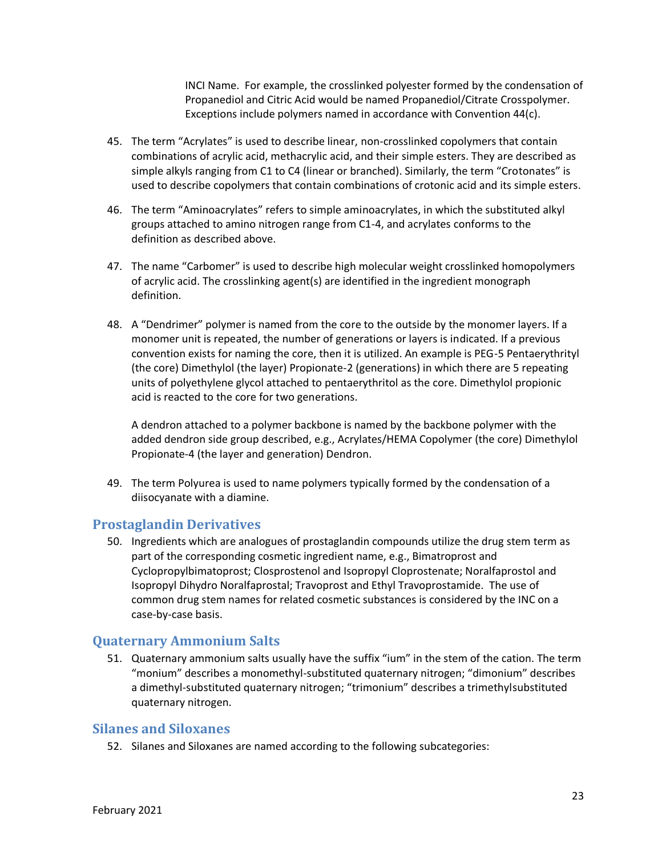INCI Name. For example, the crosslinked polyester formed by the condensation of Propanediol and Citric Acid would be named Propanediol/Citrate Crosspolymer. Exceptions include polymers named in accordance with Convention 44(c).

- 45. The term "Acrylates" is used to describe linear, non-crosslinked copolymers that contain combinations of acrylic acid, methacrylic acid, and their simple esters. They are described as simple alkyls ranging from C1 to C4 (linear or branched). Similarly, the term "Crotonates" is used to describe copolymers that contain combinations of crotonic acid and its simple esters.
- 46. The term "Aminoacrylates" refers to simple aminoacrylates, in which the substituted alkyl groups attached to amino nitrogen range from C1-4, and acrylates conforms to the definition as described above.
- 47. The name "Carbomer" is used to describe high molecular weight crosslinked homopolymers of acrylic acid. The crosslinking agent(s) are identified in the ingredient monograph definition.
- 48. A "Dendrimer" polymer is named from the core to the outside by the monomer layers. If a monomer unit is repeated, the number of generations or layers is indicated. If a previous convention exists for naming the core, then it is utilized. An example is PEG-5 Pentaerythrityl (the core) Dimethylol (the layer) Propionate-2 (generations) in which there are 5 repeating units of polyethylene glycol attached to pentaerythritol as the core. Dimethylol propionic acid is reacted to the core for two generations.

A dendron attached to a polymer backbone is named by the backbone polymer with the added dendron side group described, e.g., Acrylates/HEMA Copolymer (the core) Dimethylol Propionate-4 (the layer and generation) Dendron.

49. The term Polyurea is used to name polymers typically formed by the condensation of a diisocyanate with a diamine.

#### <span id="page-22-0"></span>**Prostaglandin Derivatives**

50. Ingredients which are analogues of prostaglandin compounds utilize the drug stem term as part of the corresponding cosmetic ingredient name, e.g., Bimatroprost and Cyclopropylbimatoprost; Closprostenol and Isopropyl Cloprostenate; Noralfaprostol and Isopropyl Dihydro Noralfaprostal; Travoprost and Ethyl Travoprostamide. The use of common drug stem names for related cosmetic substances is considered by the INC on a case-by-case basis.

#### <span id="page-22-1"></span>**Quaternary Ammonium Salts**

51. Quaternary ammonium salts usually have the suffix "ium" in the stem of the cation. The term "monium" describes a monomethyl-substituted quaternary nitrogen; "dimonium" describes a dimethyl-substituted quaternary nitrogen; "trimonium" describes a trimethylsubstituted quaternary nitrogen.

## <span id="page-22-2"></span>**Silanes and Siloxanes**

52. Silanes and Siloxanes are named according to the following subcategories: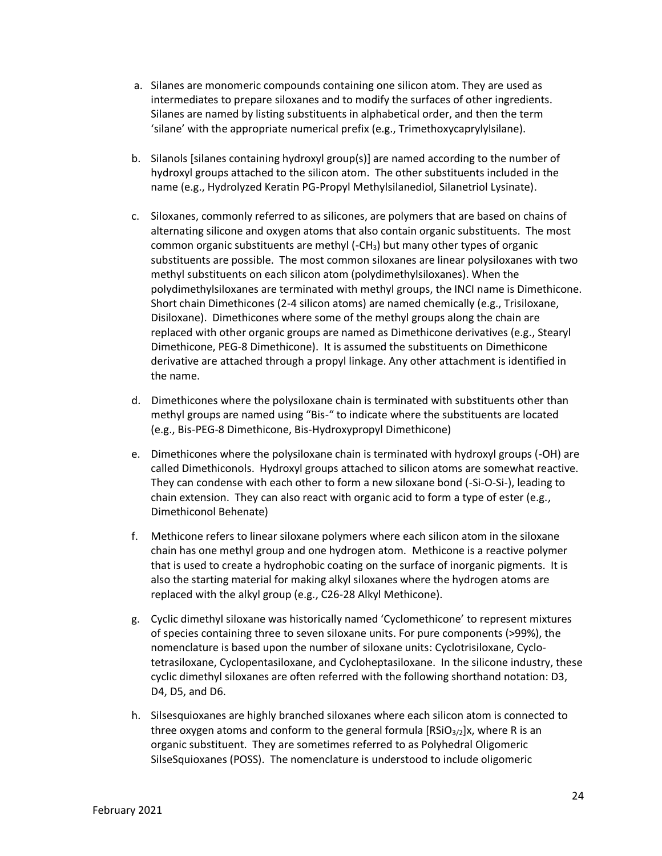- a. Silanes are monomeric compounds containing one silicon atom. They are used as intermediates to prepare siloxanes and to modify the surfaces of other ingredients. Silanes are named by listing substituents in alphabetical order, and then the term 'silane' with the appropriate numerical prefix (e.g., Trimethoxycaprylylsilane).
- b. Silanols [silanes containing hydroxyl group(s)] are named according to the number of hydroxyl groups attached to the silicon atom. The other substituents included in the name (e.g., Hydrolyzed Keratin PG-Propyl Methylsilanediol, Silanetriol Lysinate).
- c. Siloxanes, commonly referred to as silicones, are polymers that are based on chains of alternating silicone and oxygen atoms that also contain organic substituents. The most common organic substituents are methyl  $(-CH<sub>3</sub>)$  but many other types of organic substituents are possible. The most common siloxanes are linear polysiloxanes with two methyl substituents on each silicon atom (polydimethylsiloxanes). When the polydimethylsiloxanes are terminated with methyl groups, the INCI name is Dimethicone. Short chain Dimethicones (2-4 silicon atoms) are named chemically (e.g., Trisiloxane, Disiloxane). Dimethicones where some of the methyl groups along the chain are replaced with other organic groups are named as Dimethicone derivatives (e.g., Stearyl Dimethicone, PEG-8 Dimethicone). It is assumed the substituents on Dimethicone derivative are attached through a propyl linkage. Any other attachment is identified in the name.
- d. Dimethicones where the polysiloxane chain is terminated with substituents other than methyl groups are named using "Bis-" to indicate where the substituents are located (e.g., Bis-PEG-8 Dimethicone, Bis-Hydroxypropyl Dimethicone)
- e. Dimethicones where the polysiloxane chain is terminated with hydroxyl groups (-OH) are called Dimethiconols. Hydroxyl groups attached to silicon atoms are somewhat reactive. They can condense with each other to form a new siloxane bond (-Si-O-Si-), leading to chain extension. They can also react with organic acid to form a type of ester (e.g., Dimethiconol Behenate)
- f. Methicone refers to linear siloxane polymers where each silicon atom in the siloxane chain has one methyl group and one hydrogen atom. Methicone is a reactive polymer that is used to create a hydrophobic coating on the surface of inorganic pigments. It is also the starting material for making alkyl siloxanes where the hydrogen atoms are replaced with the alkyl group (e.g., C26-28 Alkyl Methicone).
- g. Cyclic dimethyl siloxane was historically named 'Cyclomethicone' to represent mixtures of species containing three to seven siloxane units. For pure components (>99%), the nomenclature is based upon the number of siloxane units: Cyclotrisiloxane, Cyclotetrasiloxane, Cyclopentasiloxane, and Cycloheptasiloxane. In the silicone industry, these cyclic dimethyl siloxanes are often referred with the following shorthand notation: D3, D4, D5, and D6.
- h. Silsesquioxanes are highly branched siloxanes where each silicon atom is connected to three oxygen atoms and conform to the general formula  $[RSiO<sub>3/2</sub>]x$ , where R is an organic substituent. They are sometimes referred to as Polyhedral Oligomeric SilseSquioxanes (POSS). The nomenclature is understood to include oligomeric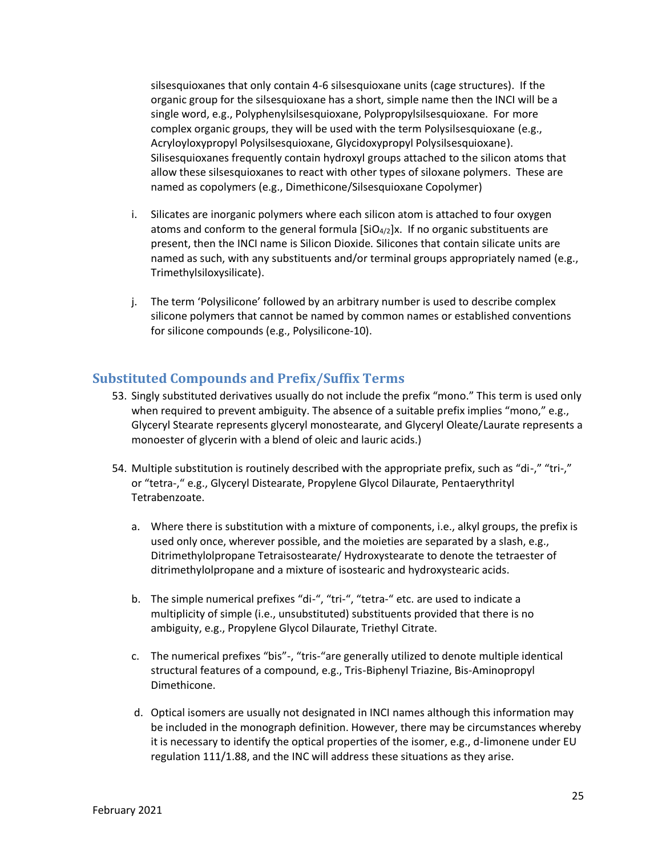silsesquioxanes that only contain 4-6 silsesquioxane units (cage structures). If the organic group for the silsesquioxane has a short, simple name then the INCI will be a single word, e.g., Polyphenylsilsesquioxane, Polypropylsilsesquioxane. For more complex organic groups, they will be used with the term Polysilsesquioxane (e.g., Acryloyloxypropyl Polysilsesquioxane, Glycidoxypropyl Polysilsesquioxane). Silisesquioxanes frequently contain hydroxyl groups attached to the silicon atoms that allow these silsesquioxanes to react with other types of siloxane polymers. These are named as copolymers (e.g., Dimethicone/Silsesquioxane Copolymer)

- i. Silicates are inorganic polymers where each silicon atom is attached to four oxygen atoms and conform to the general formula  $[SiO<sub>4/2</sub>]x$ . If no organic substituents are present, then the INCI name is Silicon Dioxide. Silicones that contain silicate units are named as such, with any substituents and/or terminal groups appropriately named (e.g., Trimethylsiloxysilicate).
- j. The term 'Polysilicone' followed by an arbitrary number is used to describe complex silicone polymers that cannot be named by common names or established conventions for silicone compounds (e.g., Polysilicone-10).

#### <span id="page-24-0"></span>**Substituted Compounds and Prefix/Suffix Terms**

- 53. Singly substituted derivatives usually do not include the prefix "mono." This term is used only when required to prevent ambiguity. The absence of a suitable prefix implies "mono," e.g., Glyceryl Stearate represents glyceryl monostearate, and Glyceryl Oleate/Laurate represents a monoester of glycerin with a blend of oleic and lauric acids.)
- 54. Multiple substitution is routinely described with the appropriate prefix, such as "di-," "tri-," or "tetra-," e.g., Glyceryl Distearate, Propylene Glycol Dilaurate, Pentaerythrityl Tetrabenzoate.
	- a. Where there is substitution with a mixture of components, i.e., alkyl groups, the prefix is used only once, wherever possible, and the moieties are separated by a slash, e.g., Ditrimethylolpropane Tetraisostearate/ Hydroxystearate to denote the tetraester of ditrimethylolpropane and a mixture of isostearic and hydroxystearic acids.
	- b. The simple numerical prefixes "di-", "tri-", "tetra-" etc. are used to indicate a multiplicity of simple (i.e., unsubstituted) substituents provided that there is no ambiguity, e.g., Propylene Glycol Dilaurate, Triethyl Citrate.
	- c. The numerical prefixes "bis"-, "tris-"are generally utilized to denote multiple identical structural features of a compound, e.g., Tris-Biphenyl Triazine, Bis-Aminopropyl Dimethicone.
	- d. Optical isomers are usually not designated in INCI names although this information may be included in the monograph definition. However, there may be circumstances whereby it is necessary to identify the optical properties of the isomer, e.g., d-limonene under EU regulation 111/1.88, and the INC will address these situations as they arise.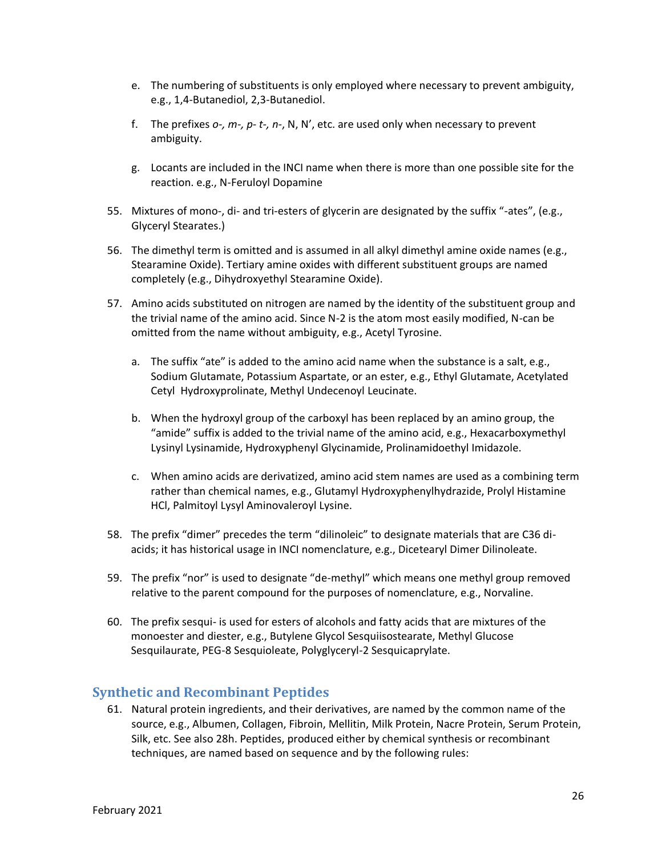- e. The numbering of substituents is only employed where necessary to prevent ambiguity, e.g., 1,4-Butanediol, 2,3-Butanediol.
- f. The prefixes *o-, m-, p- t-, n-*, N, N', etc. are used only when necessary to prevent ambiguity.
- g. Locants are included in the INCI name when there is more than one possible site for the reaction. e.g., N-Feruloyl Dopamine
- 55. Mixtures of mono-, di- and tri-esters of glycerin are designated by the suffix "-ates", (e.g., Glyceryl Stearates.)
- 56. The dimethyl term is omitted and is assumed in all alkyl dimethyl amine oxide names (e.g., Stearamine Oxide). Tertiary amine oxides with different substituent groups are named completely (e.g., Dihydroxyethyl Stearamine Oxide).
- 57. Amino acids substituted on nitrogen are named by the identity of the substituent group and the trivial name of the amino acid. Since N-2 is the atom most easily modified, N-can be omitted from the name without ambiguity, e.g., Acetyl Tyrosine.
	- a. The suffix "ate" is added to the amino acid name when the substance is a salt, e.g., Sodium Glutamate, Potassium Aspartate, or an ester, e.g., Ethyl Glutamate, Acetylated Cetyl Hydroxyprolinate, Methyl Undecenoyl Leucinate.
	- b. When the hydroxyl group of the carboxyl has been replaced by an amino group, the "amide" suffix is added to the trivial name of the amino acid, e.g., Hexacarboxymethyl Lysinyl Lysinamide, Hydroxyphenyl Glycinamide, Prolinamidoethyl Imidazole.
	- c. When amino acids are derivatized, amino acid stem names are used as a combining term rather than chemical names, e.g., Glutamyl Hydroxyphenylhydrazide, Prolyl Histamine HCl, Palmitoyl Lysyl Aminovaleroyl Lysine.
- 58. The prefix "dimer" precedes the term "dilinoleic" to designate materials that are C36 diacids; it has historical usage in INCI nomenclature, e.g., Dicetearyl Dimer Dilinoleate.
- 59. The prefix "nor" is used to designate "de-methyl" which means one methyl group removed relative to the parent compound for the purposes of nomenclature, e.g., Norvaline.
- 60. The prefix sesqui- is used for esters of alcohols and fatty acids that are mixtures of the monoester and diester, e.g., Butylene Glycol Sesquiisostearate, Methyl Glucose Sesquilaurate, PEG-8 Sesquioleate, Polyglyceryl-2 Sesquicaprylate.

#### <span id="page-25-0"></span>**Synthetic and Recombinant Peptides**

61. Natural protein ingredients, and their derivatives, are named by the common name of the source, e.g., Albumen, Collagen, Fibroin, Mellitin, Milk Protein, Nacre Protein, Serum Protein, Silk, etc. See also 28h. Peptides, produced either by chemical synthesis or recombinant techniques, are named based on sequence and by the following rules: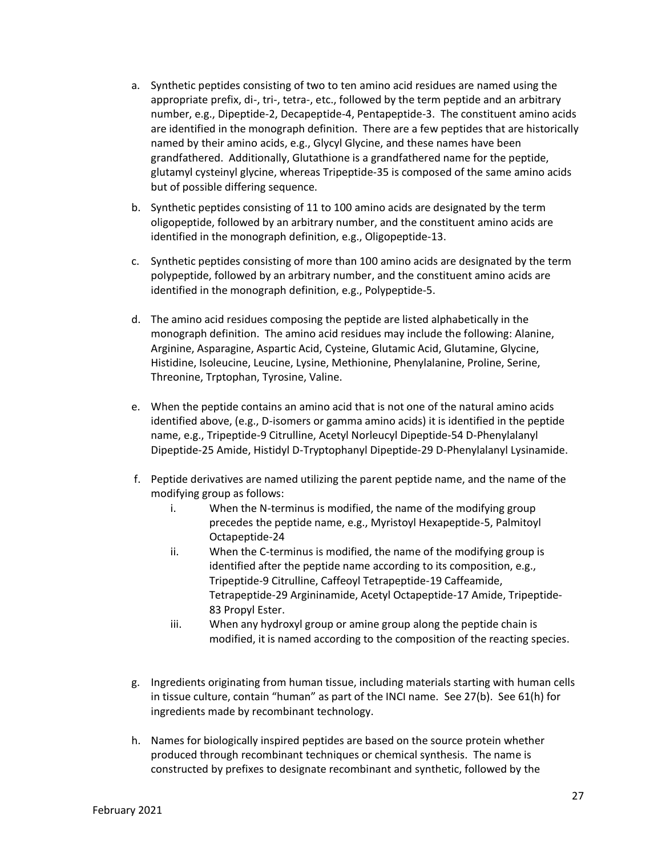- a. Synthetic peptides consisting of two to ten amino acid residues are named using the appropriate prefix, di-, tri-, tetra-, etc., followed by the term peptide and an arbitrary number, e.g., Dipeptide-2, Decapeptide-4, Pentapeptide-3. The constituent amino acids are identified in the monograph definition. There are a few peptides that are historically named by their amino acids, e.g., Glycyl Glycine, and these names have been grandfathered. Additionally, Glutathione is a grandfathered name for the peptide, glutamyl cysteinyl glycine, whereas Tripeptide-35 is composed of the same amino acids but of possible differing sequence.
- b. Synthetic peptides consisting of 11 to 100 amino acids are designated by the term oligopeptide, followed by an arbitrary number, and the constituent amino acids are identified in the monograph definition, e.g., Oligopeptide-13.
- c. Synthetic peptides consisting of more than 100 amino acids are designated by the term polypeptide, followed by an arbitrary number, and the constituent amino acids are identified in the monograph definition, e.g., Polypeptide-5.
- d. The amino acid residues composing the peptide are listed alphabetically in the monograph definition. The amino acid residues may include the following: Alanine, Arginine, Asparagine, Aspartic Acid, Cysteine, Glutamic Acid, Glutamine, Glycine, Histidine, Isoleucine, Leucine, Lysine, Methionine, Phenylalanine, Proline, Serine, Threonine, Trptophan, Tyrosine, Valine.
- e. When the peptide contains an amino acid that is not one of the natural amino acids identified above, (e.g., D-isomers or gamma amino acids) it is identified in the peptide name, e.g., Tripeptide-9 Citrulline, Acetyl Norleucyl Dipeptide-54 D-Phenylalanyl Dipeptide-25 Amide, Histidyl D-Tryptophanyl Dipeptide-29 D-Phenylalanyl Lysinamide.
- f. Peptide derivatives are named utilizing the parent peptide name, and the name of the modifying group as follows:
	- i. When the N-terminus is modified, the name of the modifying group precedes the peptide name, e.g., Myristoyl Hexapeptide-5, Palmitoyl Octapeptide-24
	- ii. When the C-terminus is modified, the name of the modifying group is identified after the peptide name according to its composition, e.g., Tripeptide-9 Citrulline, Caffeoyl Tetrapeptide-19 Caffeamide, Tetrapeptide-29 Argininamide, Acetyl Octapeptide-17 Amide, Tripeptide-83 Propyl Ester.
	- iii. When any hydroxyl group or amine group along the peptide chain is modified, it is named according to the composition of the reacting species.
- g. Ingredients originating from human tissue, including materials starting with human cells in tissue culture, contain "human" as part of the INCI name. See 27(b). See 61(h) for ingredients made by recombinant technology.
- h. Names for biologically inspired peptides are based on the source protein whether produced through recombinant techniques or chemical synthesis. The name is constructed by prefixes to designate recombinant and synthetic, followed by the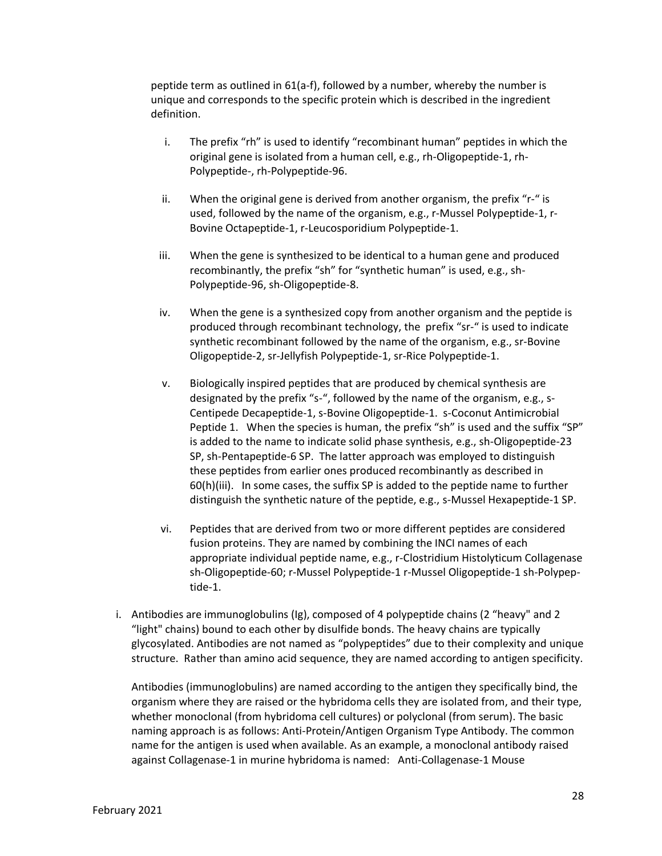peptide term as outlined in 61(a-f), followed by a number, whereby the number is unique and corresponds to the specific protein which is described in the ingredient definition.

- i. The prefix "rh" is used to identify "recombinant human" peptides in which the original gene is isolated from a human cell, e.g., rh-Oligopeptide-1, rh-Polypeptide-, rh-Polypeptide-96.
- ii. When the original gene is derived from another organism, the prefix "r-" is used, followed by the name of the organism, e.g., r-Mussel Polypeptide-1, r-Bovine Octapeptide-1, r-Leucosporidium Polypeptide-1.
- iii. When the gene is synthesized to be identical to a human gene and produced recombinantly, the prefix "sh" for "synthetic human" is used, e.g., sh-Polypeptide-96, sh-Oligopeptide-8.
- iv. When the gene is a synthesized copy from another organism and the peptide is produced through recombinant technology, the prefix "sr-" is used to indicate synthetic recombinant followed by the name of the organism, e.g., sr-Bovine Oligopeptide-2, sr-Jellyfish Polypeptide-1, sr-Rice Polypeptide-1.
- v. Biologically inspired peptides that are produced by chemical synthesis are designated by the prefix "s-", followed by the name of the organism, e.g., s-Centipede Decapeptide-1, s-Bovine Oligopeptide-1. s-Coconut Antimicrobial Peptide 1. When the species is human, the prefix "sh" is used and the suffix "SP" is added to the name to indicate solid phase synthesis, e.g., sh-Oligopeptide-23 SP, sh-Pentapeptide-6 SP. The latter approach was employed to distinguish these peptides from earlier ones produced recombinantly as described in 60(h)(iii). In some cases, the suffix SP is added to the peptide name to further distinguish the synthetic nature of the peptide, e.g., s-Mussel Hexapeptide-1 SP.
- vi. Peptides that are derived from two or more different peptides are considered fusion proteins. They are named by combining the INCI names of each appropriate individual peptide name, e.g., r-Clostridium Histolyticum Collagenase sh-Oligopeptide-60; r-Mussel Polypeptide-1 r-Mussel Oligopeptide-1 sh-Polypeptide-1.
- i. Antibodies are immunoglobulins (Ig), composed of 4 polypeptide chains (2 "heavy" and 2 "light" chains) bound to each other by disulfide bonds. The heavy chains are typically glycosylated. Antibodies are not named as "polypeptides" due to their complexity and unique structure. Rather than amino acid sequence, they are named according to antigen specificity.

Antibodies (immunoglobulins) are named according to the antigen they specifically bind, the organism where they are raised or the hybridoma cells they are isolated from, and their type, whether monoclonal (from hybridoma cell cultures) or polyclonal (from serum). The basic naming approach is as follows: Anti-Protein/Antigen Organism Type Antibody. The common name for the antigen is used when available. As an example, a monoclonal antibody raised against Collagenase-1 in murine hybridoma is named: Anti-Collagenase-1 Mouse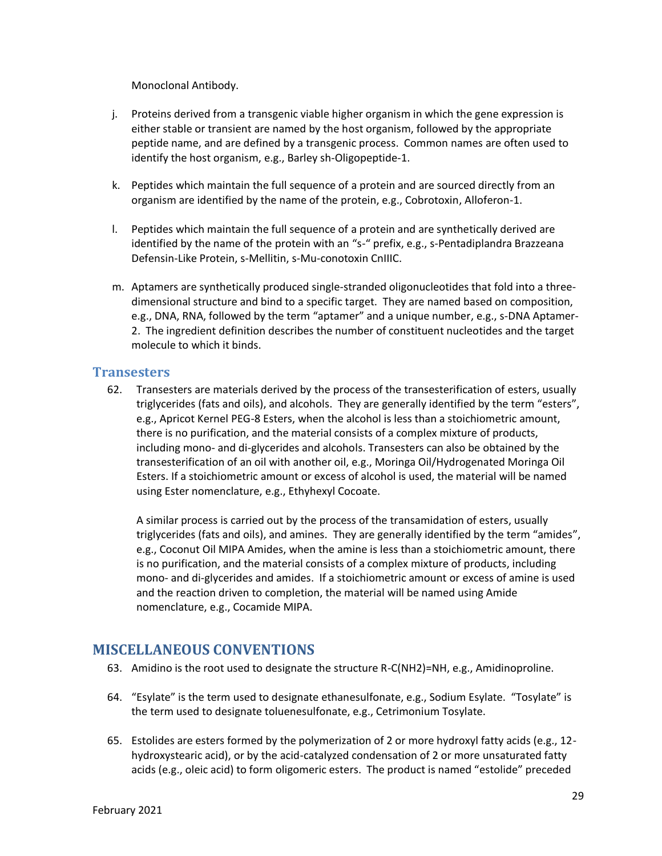Monoclonal Antibody.

- j. Proteins derived from a transgenic viable higher organism in which the gene expression is either stable or transient are named by the host organism, followed by the appropriate peptide name, and are defined by a transgenic process. Common names are often used to identify the host organism, e.g., Barley sh-Oligopeptide-1.
- k. Peptides which maintain the full sequence of a protein and are sourced directly from an organism are identified by the name of the protein, e.g., Cobrotoxin, Alloferon-1.
- l. Peptides which maintain the full sequence of a protein and are synthetically derived are identified by the name of the protein with an "s-" prefix, e.g., s-Pentadiplandra Brazzeana Defensin-Like Protein, s-Mellitin, s-Mu-conotoxin CnIIIC.
- m. Aptamers are synthetically produced single-stranded oligonucleotides that fold into a threedimensional structure and bind to a specific target. They are named based on composition, e.g., DNA, RNA, followed by the term "aptamer" and a unique number, e.g., s-DNA Aptamer-2. The ingredient definition describes the number of constituent nucleotides and the target molecule to which it binds.

#### <span id="page-28-0"></span>**Transesters**

62. Transesters are materials derived by the process of the transesterification of esters, usually triglycerides (fats and oils), and alcohols. They are generally identified by the term "esters", e.g., Apricot Kernel PEG-8 Esters, when the alcohol is less than a stoichiometric amount, there is no purification, and the material consists of a complex mixture of products, including mono- and di-glycerides and alcohols. Transesters can also be obtained by the transesterification of an oil with another oil, e.g., Moringa Oil/Hydrogenated Moringa Oil Esters. If a stoichiometric amount or excess of alcohol is used, the material will be named using Ester nomenclature, e.g., Ethyhexyl Cocoate.

A similar process is carried out by the process of the transamidation of esters, usually triglycerides (fats and oils), and amines. They are generally identified by the term "amides", e.g., Coconut Oil MIPA Amides, when the amine is less than a stoichiometric amount, there is no purification, and the material consists of a complex mixture of products, including mono- and di-glycerides and amides. If a stoichiometric amount or excess of amine is used and the reaction driven to completion, the material will be named using Amide nomenclature, e.g., Cocamide MIPA.

## <span id="page-28-1"></span>**MISCELLANEOUS CONVENTIONS**

- 63. Amidino is the root used to designate the structure R-C(NH2)=NH, e.g., Amidinoproline.
- 64. "Esylate" is the term used to designate ethanesulfonate, e.g., Sodium Esylate. "Tosylate" is the term used to designate toluenesulfonate, e.g., Cetrimonium Tosylate.
- 65. Estolides are esters formed by the polymerization of 2 or more hydroxyl fatty acids (e.g., 12 hydroxystearic acid), or by the acid-catalyzed condensation of 2 or more unsaturated fatty acids (e.g., oleic acid) to form oligomeric esters. The product is named "estolide" preceded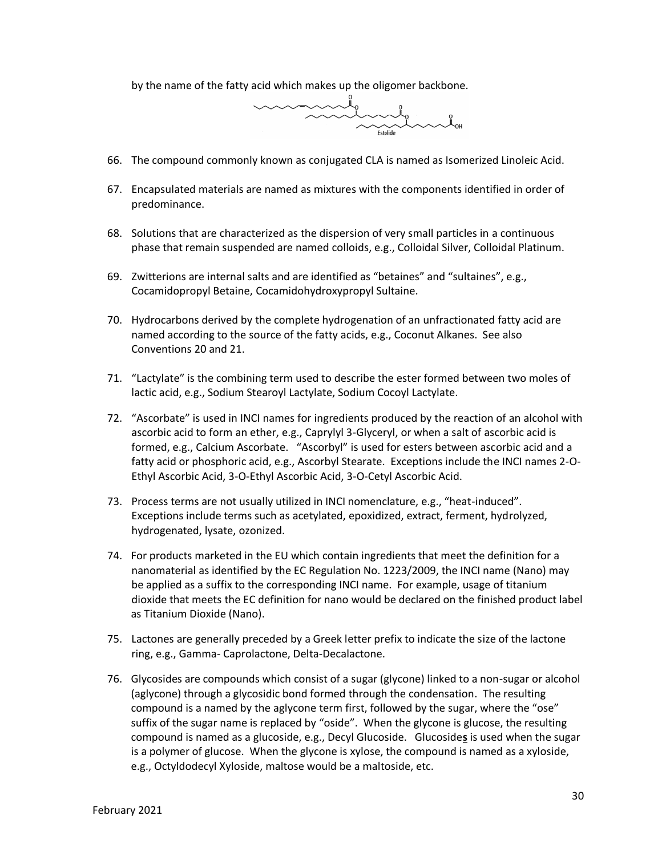by the name of the fatty acid which makes up the oligomer backbone.



- 66. The compound commonly known as conjugated CLA is named as Isomerized Linoleic Acid.
- 67. Encapsulated materials are named as mixtures with the components identified in order of predominance.
- 68. Solutions that are characterized as the dispersion of very small particles in a continuous phase that remain suspended are named colloids, e.g., Colloidal Silver, Colloidal Platinum.
- 69. Zwitterions are internal salts and are identified as "betaines" and "sultaines", e.g., Cocamidopropyl Betaine, Cocamidohydroxypropyl Sultaine.
- 70. Hydrocarbons derived by the complete hydrogenation of an unfractionated fatty acid are named according to the source of the fatty acids, e.g., Coconut Alkanes. See also Conventions 20 and 21.
- 71. "Lactylate" is the combining term used to describe the ester formed between two moles of lactic acid, e.g., Sodium Stearoyl Lactylate, Sodium Cocoyl Lactylate.
- 72. "Ascorbate" is used in INCI names for ingredients produced by the reaction of an alcohol with ascorbic acid to form an ether, e.g., Caprylyl 3-Glyceryl, or when a salt of ascorbic acid is formed, e.g., Calcium Ascorbate. "Ascorbyl" is used for esters between ascorbic acid and a fatty acid or phosphoric acid, e.g., Ascorbyl Stearate. Exceptions include the INCI names 2-O-Ethyl Ascorbic Acid, 3-O-Ethyl Ascorbic Acid, 3-O-Cetyl Ascorbic Acid.
- 73. Process terms are not usually utilized in INCI nomenclature, e.g., "heat-induced". Exceptions include terms such as acetylated, epoxidized, extract, ferment, hydrolyzed, hydrogenated, lysate, ozonized.
- 74. For products marketed in the EU which contain ingredients that meet the definition for a nanomaterial as identified by the EC Regulation No. 1223/2009, the INCI name (Nano) may be applied as a suffix to the corresponding INCI name. For example, usage of titanium dioxide that meets the EC definition for nano would be declared on the finished product label as Titanium Dioxide (Nano).
- 75. Lactones are generally preceded by a Greek letter prefix to indicate the size of the lactone ring, e.g., Gamma- Caprolactone, Delta-Decalactone.
- 76. Glycosides are compounds which consist of a sugar (glycone) linked to a non-sugar or alcohol (aglycone) through a glycosidic bond formed through the condensation. The resulting compound is a named by the aglycone term first, followed by the sugar, where the "ose" suffix of the sugar name is replaced by "oside". When the glycone is glucose, the resulting compound is named as a glucoside, e.g., Decyl Glucoside. Glucoside**s** is used when the sugar is a polymer of glucose. When the glycone is xylose, the compound is named as a xyloside, e.g., Octyldodecyl Xyloside, maltose would be a maltoside, etc.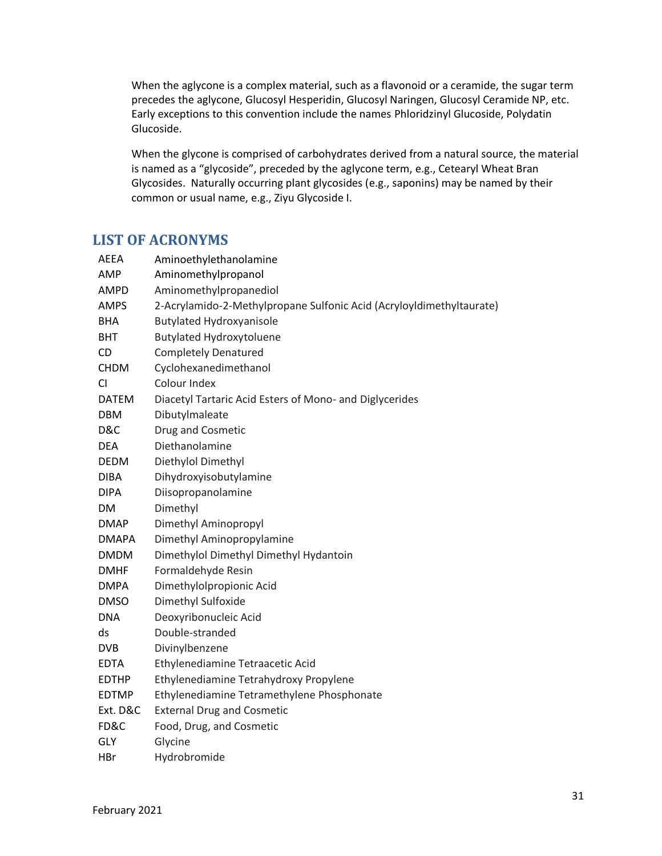When the aglycone is a complex material, such as a flavonoid or a ceramide, the sugar term precedes the aglycone, Glucosyl Hesperidin, Glucosyl Naringen, Glucosyl Ceramide NP, etc. Early exceptions to this convention include the names Phloridzinyl Glucoside, Polydatin Glucoside.

When the glycone is comprised of carbohydrates derived from a natural source, the material is named as a "glycoside", preceded by the aglycone term, e.g., Cetearyl Wheat Bran Glycosides. Naturally occurring plant glycosides (e.g., saponins) may be named by their common or usual name, e.g., Ziyu Glycoside I.

## <span id="page-30-0"></span>**LIST OF ACRONYMS**

| <b>AEEA</b>  | Aminoethylethanolamine                                               |
|--------------|----------------------------------------------------------------------|
| AMP          | Aminomethylpropanol                                                  |
| AMPD         | Aminomethylpropanediol                                               |
| <b>AMPS</b>  | 2-Acrylamido-2-Methylpropane Sulfonic Acid (Acryloyldimethyltaurate) |
| BHA          | <b>Butylated Hydroxyanisole</b>                                      |
| BHT          | <b>Butylated Hydroxytoluene</b>                                      |
| <b>CD</b>    | <b>Completely Denatured</b>                                          |
| <b>CHDM</b>  | Cyclohexanedimethanol                                                |
| <b>CI</b>    | Colour Index                                                         |
| <b>DATEM</b> | Diacetyl Tartaric Acid Esters of Mono- and Diglycerides              |
| <b>DBM</b>   | Dibutylmaleate                                                       |
| D&C          | Drug and Cosmetic                                                    |
| <b>DEA</b>   | Diethanolamine                                                       |
| DEDM         | Diethylol Dimethyl                                                   |
| <b>DIBA</b>  | Dihydroxyisobutylamine                                               |
| <b>DIPA</b>  | Diisopropanolamine                                                   |
| DM           | Dimethyl                                                             |
| <b>DMAP</b>  | Dimethyl Aminopropyl                                                 |
| <b>DMAPA</b> | Dimethyl Aminopropylamine                                            |
| <b>DMDM</b>  | Dimethylol Dimethyl Dimethyl Hydantoin                               |
| <b>DMHF</b>  | Formaldehyde Resin                                                   |
| <b>DMPA</b>  | Dimethylolpropionic Acid                                             |
| <b>DMSO</b>  | Dimethyl Sulfoxide                                                   |
| <b>DNA</b>   | Deoxyribonucleic Acid                                                |
| ds           | Double-stranded                                                      |
| <b>DVB</b>   | Divinylbenzene                                                       |
| <b>EDTA</b>  | Ethylenediamine Tetraacetic Acid                                     |
| <b>EDTHP</b> | Ethylenediamine Tetrahydroxy Propylene                               |
| <b>EDTMP</b> | Ethylenediamine Tetramethylene Phosphonate                           |
| Ext. D&C     | <b>External Drug and Cosmetic</b>                                    |
| FD&C         | Food, Drug, and Cosmetic                                             |
| GLY          | Glycine                                                              |
| HBr          | Hydrobromide                                                         |